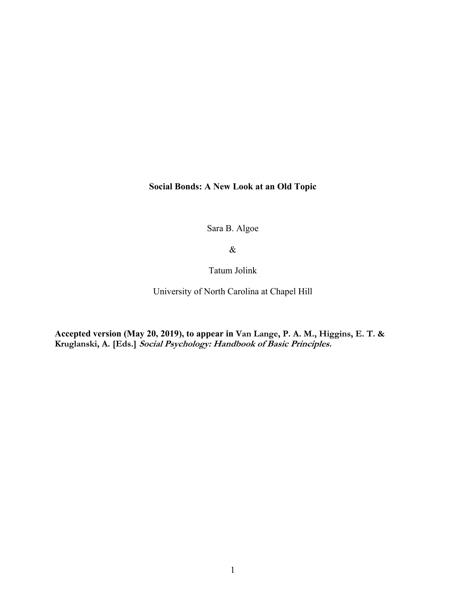**Social Bonds: A New Look at an Old Topic**

Sara B. Algoe

&

Tatum Jolink

University of North Carolina at Chapel Hill

**Accepted version (May 20, 2019), to appear in Van Lange, P. A. M., Higgins, E. T. & Kruglanski, A. [Eds.] Social Psychology: Handbook of Basic Principles.**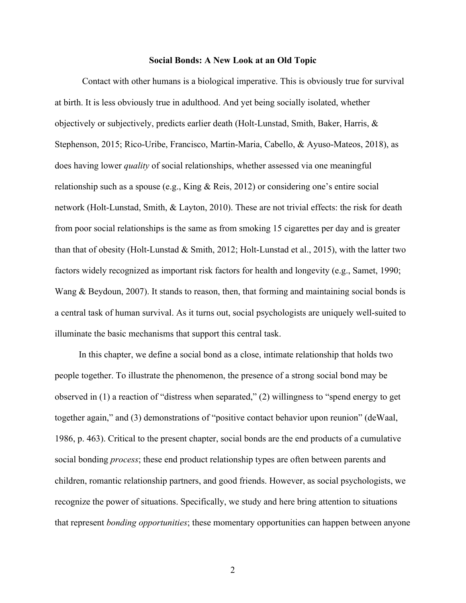## **Social Bonds: A New Look at an Old Topic**

Contact with other humans is a biological imperative. This is obviously true for survival at birth. It is less obviously true in adulthood. And yet being socially isolated, whether objectively or subjectively, predicts earlier death (Holt-Lunstad, Smith, Baker, Harris, & Stephenson, 2015; Rico-Uribe, Francisco, Martin-Maria, Cabello, & Ayuso-Mateos, 2018), as does having lower *quality* of social relationships, whether assessed via one meaningful relationship such as a spouse (e.g., King & Reis, 2012) or considering one's entire social network (Holt-Lunstad, Smith, & Layton, 2010). These are not trivial effects: the risk for death from poor social relationships is the same as from smoking 15 cigarettes per day and is greater than that of obesity (Holt-Lunstad  $\&$  Smith, 2012; Holt-Lunstad et al., 2015), with the latter two factors widely recognized as important risk factors for health and longevity (e.g., Samet, 1990; Wang & Beydoun, 2007). It stands to reason, then, that forming and maintaining social bonds is a central task of human survival. As it turns out, social psychologists are uniquely well-suited to illuminate the basic mechanisms that support this central task.

In this chapter, we define a social bond as a close, intimate relationship that holds two people together. To illustrate the phenomenon, the presence of a strong social bond may be observed in (1) a reaction of "distress when separated," (2) willingness to "spend energy to get together again," and (3) demonstrations of "positive contact behavior upon reunion" (deWaal, 1986, p. 463). Critical to the present chapter, social bonds are the end products of a cumulative social bonding *process*; these end product relationship types are often between parents and children, romantic relationship partners, and good friends. However, as social psychologists, we recognize the power of situations. Specifically, we study and here bring attention to situations that represent *bonding opportunities*; these momentary opportunities can happen between anyone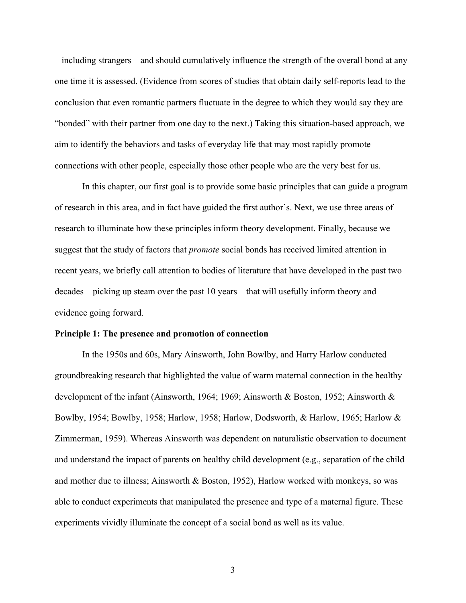– including strangers – and should cumulatively influence the strength of the overall bond at any one time it is assessed. (Evidence from scores of studies that obtain daily self-reports lead to the conclusion that even romantic partners fluctuate in the degree to which they would say they are "bonded" with their partner from one day to the next.) Taking this situation-based approach, we aim to identify the behaviors and tasks of everyday life that may most rapidly promote connections with other people, especially those other people who are the very best for us.

In this chapter, our first goal is to provide some basic principles that can guide a program of research in this area, and in fact have guided the first author's. Next, we use three areas of research to illuminate how these principles inform theory development. Finally, because we suggest that the study of factors that *promote* social bonds has received limited attention in recent years, we briefly call attention to bodies of literature that have developed in the past two decades – picking up steam over the past 10 years – that will usefully inform theory and evidence going forward.

#### **Principle 1: The presence and promotion of connection**

In the 1950s and 60s, Mary Ainsworth, John Bowlby, and Harry Harlow conducted groundbreaking research that highlighted the value of warm maternal connection in the healthy development of the infant (Ainsworth, 1964; 1969; Ainsworth & Boston, 1952; Ainsworth & Bowlby, 1954; Bowlby, 1958; Harlow, 1958; Harlow, Dodsworth, & Harlow, 1965; Harlow & Zimmerman, 1959). Whereas Ainsworth was dependent on naturalistic observation to document and understand the impact of parents on healthy child development (e.g., separation of the child and mother due to illness; Ainsworth & Boston, 1952), Harlow worked with monkeys, so was able to conduct experiments that manipulated the presence and type of a maternal figure. These experiments vividly illuminate the concept of a social bond as well as its value.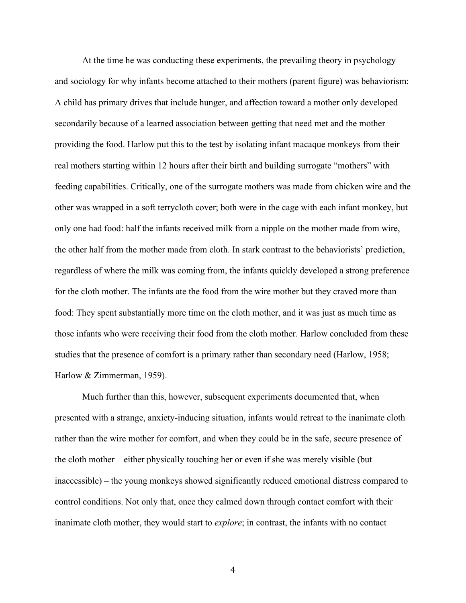At the time he was conducting these experiments, the prevailing theory in psychology and sociology for why infants become attached to their mothers (parent figure) was behaviorism: A child has primary drives that include hunger, and affection toward a mother only developed secondarily because of a learned association between getting that need met and the mother providing the food. Harlow put this to the test by isolating infant macaque monkeys from their real mothers starting within 12 hours after their birth and building surrogate "mothers" with feeding capabilities. Critically, one of the surrogate mothers was made from chicken wire and the other was wrapped in a soft terrycloth cover; both were in the cage with each infant monkey, but only one had food: half the infants received milk from a nipple on the mother made from wire, the other half from the mother made from cloth. In stark contrast to the behaviorists' prediction, regardless of where the milk was coming from, the infants quickly developed a strong preference for the cloth mother. The infants ate the food from the wire mother but they craved more than food: They spent substantially more time on the cloth mother, and it was just as much time as those infants who were receiving their food from the cloth mother. Harlow concluded from these studies that the presence of comfort is a primary rather than secondary need (Harlow, 1958; Harlow & Zimmerman, 1959).

Much further than this, however, subsequent experiments documented that, when presented with a strange, anxiety-inducing situation, infants would retreat to the inanimate cloth rather than the wire mother for comfort, and when they could be in the safe, secure presence of the cloth mother – either physically touching her or even if she was merely visible (but inaccessible) – the young monkeys showed significantly reduced emotional distress compared to control conditions. Not only that, once they calmed down through contact comfort with their inanimate cloth mother, they would start to *explore*; in contrast, the infants with no contact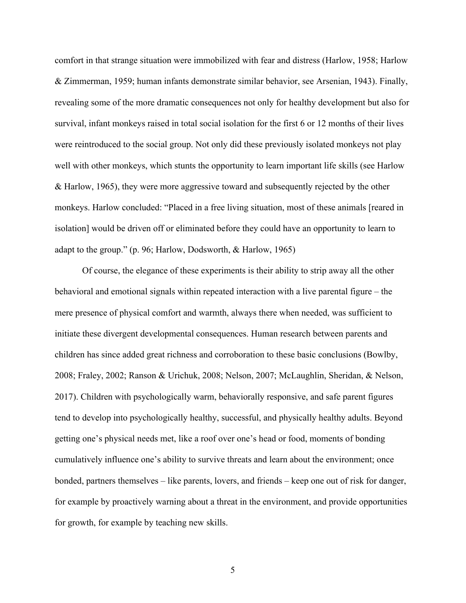comfort in that strange situation were immobilized with fear and distress (Harlow, 1958; Harlow & Zimmerman, 1959; human infants demonstrate similar behavior, see Arsenian, 1943). Finally, revealing some of the more dramatic consequences not only for healthy development but also for survival, infant monkeys raised in total social isolation for the first 6 or 12 months of their lives were reintroduced to the social group. Not only did these previously isolated monkeys not play well with other monkeys, which stunts the opportunity to learn important life skills (see Harlow & Harlow, 1965), they were more aggressive toward and subsequently rejected by the other monkeys. Harlow concluded: "Placed in a free living situation, most of these animals [reared in isolation] would be driven off or eliminated before they could have an opportunity to learn to adapt to the group." (p. 96; Harlow, Dodsworth, & Harlow, 1965)

Of course, the elegance of these experiments is their ability to strip away all the other behavioral and emotional signals within repeated interaction with a live parental figure – the mere presence of physical comfort and warmth, always there when needed, was sufficient to initiate these divergent developmental consequences. Human research between parents and children has since added great richness and corroboration to these basic conclusions (Bowlby, 2008; Fraley, 2002; Ranson & Urichuk, 2008; Nelson, 2007; McLaughlin, Sheridan, & Nelson, 2017). Children with psychologically warm, behaviorally responsive, and safe parent figures tend to develop into psychologically healthy, successful, and physically healthy adults. Beyond getting one's physical needs met, like a roof over one's head or food, moments of bonding cumulatively influence one's ability to survive threats and learn about the environment; once bonded, partners themselves – like parents, lovers, and friends – keep one out of risk for danger, for example by proactively warning about a threat in the environment, and provide opportunities for growth, for example by teaching new skills.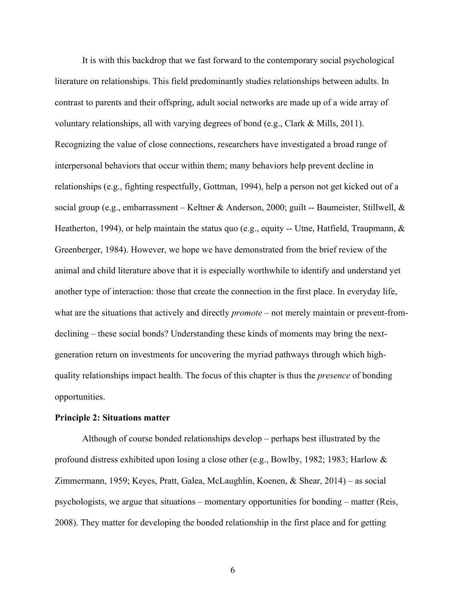It is with this backdrop that we fast forward to the contemporary social psychological literature on relationships. This field predominantly studies relationships between adults. In contrast to parents and their offspring, adult social networks are made up of a wide array of voluntary relationships, all with varying degrees of bond (e.g., Clark & Mills, 2011). Recognizing the value of close connections, researchers have investigated a broad range of interpersonal behaviors that occur within them; many behaviors help prevent decline in relationships (e.g., fighting respectfully, Gottman, 1994), help a person not get kicked out of a social group (e.g., embarrassment – Keltner & Anderson, 2000; guilt -- Baumeister, Stillwell, & Heatherton, 1994), or help maintain the status quo (e.g., equity -- Utne, Hatfield, Traupmann, & Greenberger, 1984). However, we hope we have demonstrated from the brief review of the animal and child literature above that it is especially worthwhile to identify and understand yet another type of interaction: those that create the connection in the first place. In everyday life, what are the situations that actively and directly *promote* – not merely maintain or prevent-fromdeclining – these social bonds? Understanding these kinds of moments may bring the nextgeneration return on investments for uncovering the myriad pathways through which highquality relationships impact health. The focus of this chapter is thus the *presence* of bonding opportunities.

## **Principle 2: Situations matter**

Although of course bonded relationships develop – perhaps best illustrated by the profound distress exhibited upon losing a close other (e.g., Bowlby, 1982; 1983; Harlow & Zimmermann, 1959; Keyes, Pratt, Galea, McLaughlin, Koenen, & Shear, 2014) – as social psychologists, we argue that situations – momentary opportunities for bonding – matter (Reis, 2008). They matter for developing the bonded relationship in the first place and for getting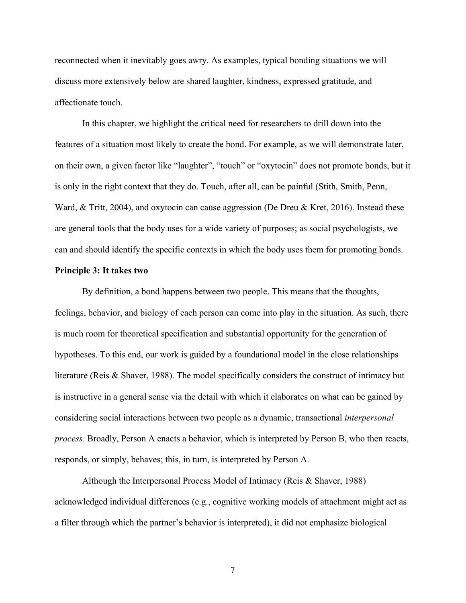reconnected when it inevitably goes awry. As examples, typical bonding situations we will discuss more extensively below are shared laughter, kindness, expressed gratitude, and affectionate touch.

In this chapter, we highlight the critical need for researchers to drill down into the features of a situation most likely to create the bond. For example, as we will demonstrate later, on their own, a given factor like "laughter", "touch" or "oxytocin" does not promote bonds, but it is only in the right context that they do. Touch, after all, can be painful (Stith, Smith, Penn, Ward, & Tritt, 2004), and oxytocin can cause aggression (De Dreu & Kret, 2016). Instead these are general tools that the body uses for a wide variety of purposes; as social psychologists, we can and should identify the specific contexts in which the body uses them for promoting bonds.

## **Principle 3: It takes two**

By definition, a bond happens between two people. This means that the thoughts, feelings, behavior, and biology of each person can come into play in the situation. As such, there is much room for theoretical specification and substantial opportunity for the generation of hypotheses. To this end, our work is guided by a foundational model in the close relationships literature (Reis & Shaver, 1988). The model specifically considers the construct of intimacy but is instructive in a general sense via the detail with which it elaborates on what can be gained by considering social interactions between two people as a dynamic, transactional *interpersonal process*. Broadly, Person A enacts a behavior, which is interpreted by Person B, who then reacts, responds, or simply, behaves; this, in turn, is interpreted by Person A.

Although the Interpersonal Process Model of Intimacy (Reis & Shaver, 1988) acknowledged individual differences (e.g., cognitive working models of attachment might act as a filter through which the partner's behavior is interpreted), it did not emphasize biological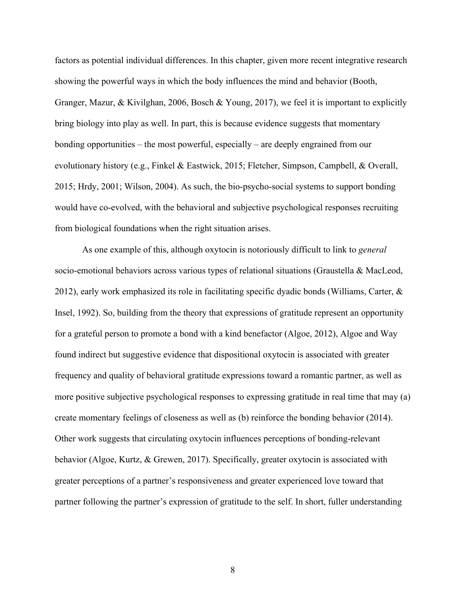factors as potential individual differences. In this chapter, given more recent integrative research showing the powerful ways in which the body influences the mind and behavior (Booth, Granger, Mazur, & Kivilghan, 2006, Bosch & Young, 2017), we feel it is important to explicitly bring biology into play as well. In part, this is because evidence suggests that momentary bonding opportunities – the most powerful, especially – are deeply engrained from our evolutionary history (e.g., Finkel & Eastwick, 2015; Fletcher, Simpson, Campbell, & Overall, 2015; Hrdy, 2001; Wilson, 2004). As such, the bio-psycho-social systems to support bonding would have co-evolved, with the behavioral and subjective psychological responses recruiting from biological foundations when the right situation arises.

As one example of this, although oxytocin is notoriously difficult to link to *general*  socio-emotional behaviors across various types of relational situations (Graustella & MacLeod, 2012), early work emphasized its role in facilitating specific dyadic bonds (Williams, Carter, & Insel, 1992). So, building from the theory that expressions of gratitude represent an opportunity for a grateful person to promote a bond with a kind benefactor (Algoe, 2012), Algoe and Way found indirect but suggestive evidence that dispositional oxytocin is associated with greater frequency and quality of behavioral gratitude expressions toward a romantic partner, as well as more positive subjective psychological responses to expressing gratitude in real time that may (a) create momentary feelings of closeness as well as (b) reinforce the bonding behavior (2014). Other work suggests that circulating oxytocin influences perceptions of bonding-relevant behavior (Algoe, Kurtz, & Grewen, 2017). Specifically, greater oxytocin is associated with greater perceptions of a partner's responsiveness and greater experienced love toward that partner following the partner's expression of gratitude to the self. In short, fuller understanding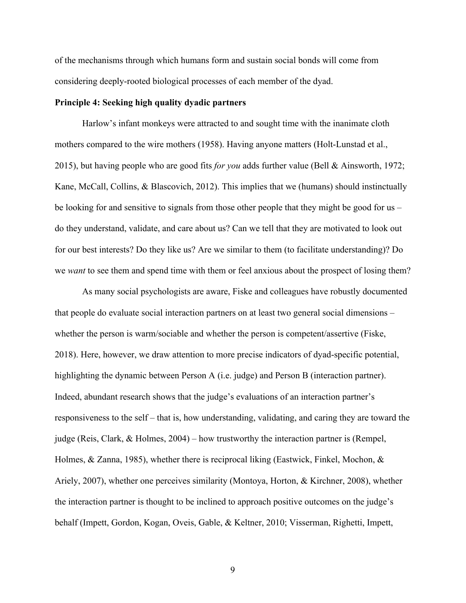of the mechanisms through which humans form and sustain social bonds will come from considering deeply-rooted biological processes of each member of the dyad.

## **Principle 4: Seeking high quality dyadic partners**

Harlow's infant monkeys were attracted to and sought time with the inanimate cloth mothers compared to the wire mothers (1958). Having anyone matters (Holt-Lunstad et al., 2015), but having people who are good fits *for you* adds further value (Bell & Ainsworth, 1972; Kane, McCall, Collins, & Blascovich, 2012). This implies that we (humans) should instinctually be looking for and sensitive to signals from those other people that they might be good for us – do they understand, validate, and care about us? Can we tell that they are motivated to look out for our best interests? Do they like us? Are we similar to them (to facilitate understanding)? Do we *want* to see them and spend time with them or feel anxious about the prospect of losing them?

As many social psychologists are aware, Fiske and colleagues have robustly documented that people do evaluate social interaction partners on at least two general social dimensions – whether the person is warm/sociable and whether the person is competent/assertive (Fiske, 2018). Here, however, we draw attention to more precise indicators of dyad-specific potential, highlighting the dynamic between Person A (i.e. judge) and Person B (interaction partner). Indeed, abundant research shows that the judge's evaluations of an interaction partner's responsiveness to the self – that is, how understanding, validating, and caring they are toward the judge (Reis, Clark, & Holmes, 2004) – how trustworthy the interaction partner is (Rempel, Holmes, & Zanna, 1985), whether there is reciprocal liking (Eastwick, Finkel, Mochon,  $\&$ Ariely, 2007), whether one perceives similarity (Montoya, Horton, & Kirchner, 2008), whether the interaction partner is thought to be inclined to approach positive outcomes on the judge's behalf (Impett, Gordon, Kogan, Oveis, Gable, & Keltner, 2010; Visserman, Righetti, Impett,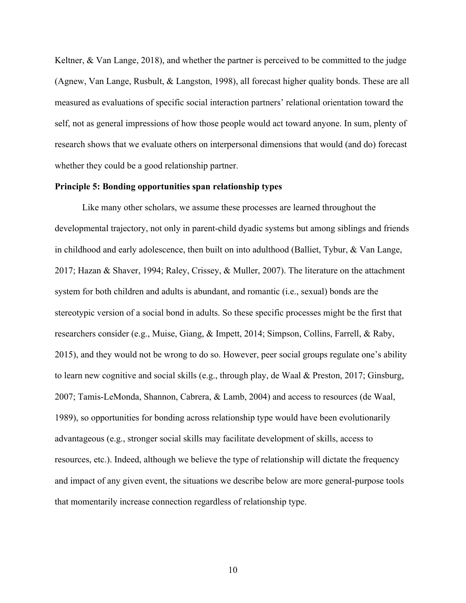Keltner, & Van Lange, 2018), and whether the partner is perceived to be committed to the judge (Agnew, Van Lange, Rusbult, & Langston, 1998), all forecast higher quality bonds. These are all measured as evaluations of specific social interaction partners' relational orientation toward the self, not as general impressions of how those people would act toward anyone. In sum, plenty of research shows that we evaluate others on interpersonal dimensions that would (and do) forecast whether they could be a good relationship partner.

## **Principle 5: Bonding opportunities span relationship types**

Like many other scholars, we assume these processes are learned throughout the developmental trajectory, not only in parent-child dyadic systems but among siblings and friends in childhood and early adolescence, then built on into adulthood (Balliet, Tybur, & Van Lange, 2017; Hazan & Shaver, 1994; Raley, Crissey, & Muller, 2007). The literature on the attachment system for both children and adults is abundant, and romantic (i.e., sexual) bonds are the stereotypic version of a social bond in adults. So these specific processes might be the first that researchers consider (e.g., Muise, Giang, & Impett, 2014; Simpson, Collins, Farrell, & Raby, 2015), and they would not be wrong to do so. However, peer social groups regulate one's ability to learn new cognitive and social skills (e.g., through play, de Waal & Preston, 2017; Ginsburg, 2007; Tamis-LeMonda, Shannon, Cabrera, & Lamb, 2004) and access to resources (de Waal, 1989), so opportunities for bonding across relationship type would have been evolutionarily advantageous (e.g., stronger social skills may facilitate development of skills, access to resources, etc.). Indeed, although we believe the type of relationship will dictate the frequency and impact of any given event, the situations we describe below are more general-purpose tools that momentarily increase connection regardless of relationship type.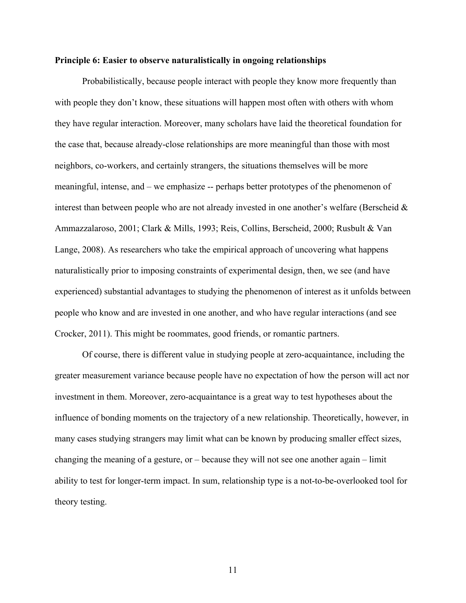## **Principle 6: Easier to observe naturalistically in ongoing relationships**

Probabilistically, because people interact with people they know more frequently than with people they don't know, these situations will happen most often with others with whom they have regular interaction. Moreover, many scholars have laid the theoretical foundation for the case that, because already-close relationships are more meaningful than those with most neighbors, co-workers, and certainly strangers, the situations themselves will be more meaningful, intense, and – we emphasize -- perhaps better prototypes of the phenomenon of interest than between people who are not already invested in one another's welfare (Berscheid & Ammazzalaroso, 2001; Clark & Mills, 1993; Reis, Collins, Berscheid, 2000; Rusbult & Van Lange, 2008). As researchers who take the empirical approach of uncovering what happens naturalistically prior to imposing constraints of experimental design, then, we see (and have experienced) substantial advantages to studying the phenomenon of interest as it unfolds between people who know and are invested in one another, and who have regular interactions (and see Crocker, 2011). This might be roommates, good friends, or romantic partners.

Of course, there is different value in studying people at zero-acquaintance, including the greater measurement variance because people have no expectation of how the person will act nor investment in them. Moreover, zero-acquaintance is a great way to test hypotheses about the influence of bonding moments on the trajectory of a new relationship. Theoretically, however, in many cases studying strangers may limit what can be known by producing smaller effect sizes, changing the meaning of a gesture, or – because they will not see one another again – limit ability to test for longer-term impact. In sum, relationship type is a not-to-be-overlooked tool for theory testing.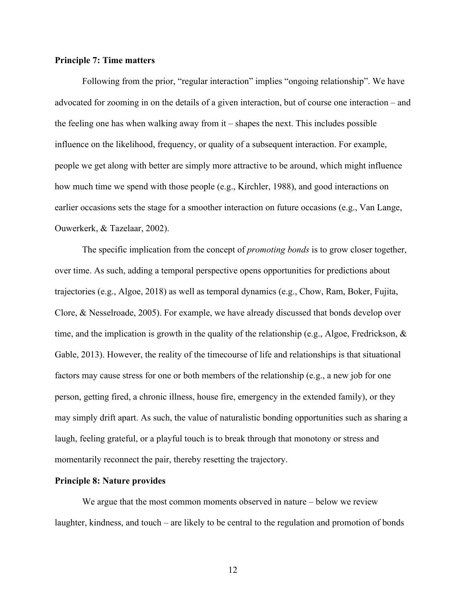## **Principle 7: Time matters**

Following from the prior, "regular interaction" implies "ongoing relationship". We have advocated for zooming in on the details of a given interaction, but of course one interaction – and the feeling one has when walking away from it – shapes the next. This includes possible influence on the likelihood, frequency, or quality of a subsequent interaction. For example, people we get along with better are simply more attractive to be around, which might influence how much time we spend with those people (e.g., Kirchler, 1988), and good interactions on earlier occasions sets the stage for a smoother interaction on future occasions (e.g., Van Lange, Ouwerkerk, & Tazelaar, 2002).

The specific implication from the concept of *promoting bonds* is to grow closer together, over time. As such, adding a temporal perspective opens opportunities for predictions about trajectories (e.g., Algoe, 2018) as well as temporal dynamics (e.g., Chow, Ram, Boker, Fujita, Clore, & Nesselroade, 2005). For example, we have already discussed that bonds develop over time, and the implication is growth in the quality of the relationship (e.g., Algoe, Fredrickson, & Gable, 2013). However, the reality of the timecourse of life and relationships is that situational factors may cause stress for one or both members of the relationship (e.g., a new job for one person, getting fired, a chronic illness, house fire, emergency in the extended family), or they may simply drift apart. As such, the value of naturalistic bonding opportunities such as sharing a laugh, feeling grateful, or a playful touch is to break through that monotony or stress and momentarily reconnect the pair, thereby resetting the trajectory.

#### **Principle 8: Nature provides**

We argue that the most common moments observed in nature – below we review laughter, kindness, and touch – are likely to be central to the regulation and promotion of bonds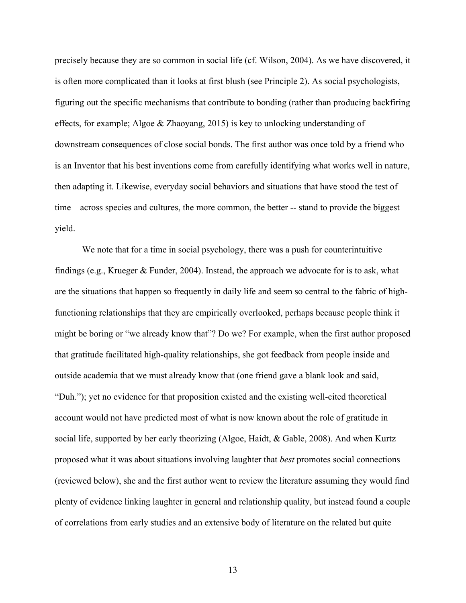precisely because they are so common in social life (cf. Wilson, 2004). As we have discovered, it is often more complicated than it looks at first blush (see Principle 2). As social psychologists, figuring out the specific mechanisms that contribute to bonding (rather than producing backfiring effects, for example; Algoe & Zhaoyang, 2015) is key to unlocking understanding of downstream consequences of close social bonds. The first author was once told by a friend who is an Inventor that his best inventions come from carefully identifying what works well in nature, then adapting it. Likewise, everyday social behaviors and situations that have stood the test of time – across species and cultures, the more common, the better -- stand to provide the biggest yield.

We note that for a time in social psychology, there was a push for counterintuitive findings (e.g., Krueger & Funder, 2004). Instead, the approach we advocate for is to ask, what are the situations that happen so frequently in daily life and seem so central to the fabric of highfunctioning relationships that they are empirically overlooked, perhaps because people think it might be boring or "we already know that"? Do we? For example, when the first author proposed that gratitude facilitated high-quality relationships, she got feedback from people inside and outside academia that we must already know that (one friend gave a blank look and said, "Duh."); yet no evidence for that proposition existed and the existing well-cited theoretical account would not have predicted most of what is now known about the role of gratitude in social life, supported by her early theorizing (Algoe, Haidt, & Gable, 2008). And when Kurtz proposed what it was about situations involving laughter that *best* promotes social connections (reviewed below), she and the first author went to review the literature assuming they would find plenty of evidence linking laughter in general and relationship quality, but instead found a couple of correlations from early studies and an extensive body of literature on the related but quite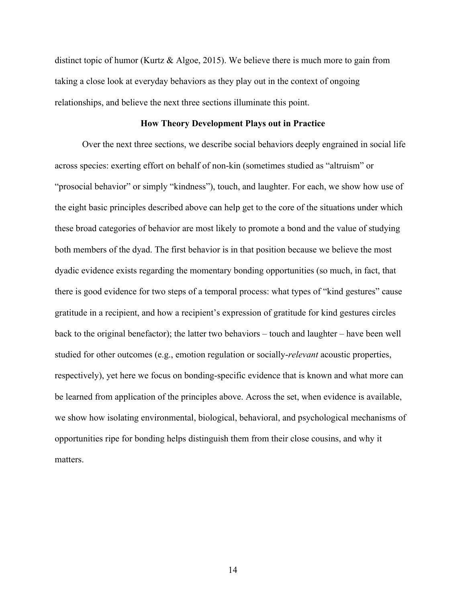distinct topic of humor (Kurtz & Algoe, 2015). We believe there is much more to gain from taking a close look at everyday behaviors as they play out in the context of ongoing relationships, and believe the next three sections illuminate this point.

## **How Theory Development Plays out in Practice**

Over the next three sections, we describe social behaviors deeply engrained in social life across species: exerting effort on behalf of non-kin (sometimes studied as "altruism" or "prosocial behavior" or simply "kindness"), touch, and laughter. For each, we show how use of the eight basic principles described above can help get to the core of the situations under which these broad categories of behavior are most likely to promote a bond and the value of studying both members of the dyad. The first behavior is in that position because we believe the most dyadic evidence exists regarding the momentary bonding opportunities (so much, in fact, that there is good evidence for two steps of a temporal process: what types of "kind gestures" cause gratitude in a recipient, and how a recipient's expression of gratitude for kind gestures circles back to the original benefactor); the latter two behaviors – touch and laughter – have been well studied for other outcomes (e.g., emotion regulation or socially-*relevant* acoustic properties, respectively), yet here we focus on bonding-specific evidence that is known and what more can be learned from application of the principles above. Across the set, when evidence is available, we show how isolating environmental, biological, behavioral, and psychological mechanisms of opportunities ripe for bonding helps distinguish them from their close cousins, and why it matters.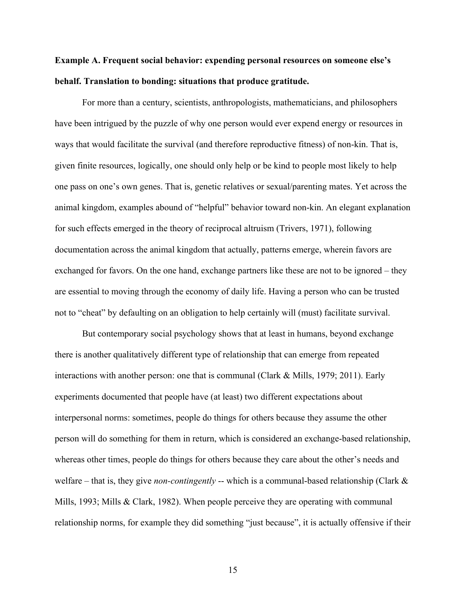# **Example A. Frequent social behavior: expending personal resources on someone else's behalf. Translation to bonding: situations that produce gratitude.**

For more than a century, scientists, anthropologists, mathematicians, and philosophers have been intrigued by the puzzle of why one person would ever expend energy or resources in ways that would facilitate the survival (and therefore reproductive fitness) of non-kin. That is, given finite resources, logically, one should only help or be kind to people most likely to help one pass on one's own genes. That is, genetic relatives or sexual/parenting mates. Yet across the animal kingdom, examples abound of "helpful" behavior toward non-kin. An elegant explanation for such effects emerged in the theory of reciprocal altruism (Trivers, 1971), following documentation across the animal kingdom that actually, patterns emerge, wherein favors are exchanged for favors. On the one hand, exchange partners like these are not to be ignored – they are essential to moving through the economy of daily life. Having a person who can be trusted not to "cheat" by defaulting on an obligation to help certainly will (must) facilitate survival.

But contemporary social psychology shows that at least in humans, beyond exchange there is another qualitatively different type of relationship that can emerge from repeated interactions with another person: one that is communal (Clark & Mills, 1979; 2011). Early experiments documented that people have (at least) two different expectations about interpersonal norms: sometimes, people do things for others because they assume the other person will do something for them in return, which is considered an exchange-based relationship, whereas other times, people do things for others because they care about the other's needs and welfare – that is, they give *non-contingently* -- which is a communal-based relationship (Clark & Mills, 1993; Mills & Clark, 1982). When people perceive they are operating with communal relationship norms, for example they did something "just because", it is actually offensive if their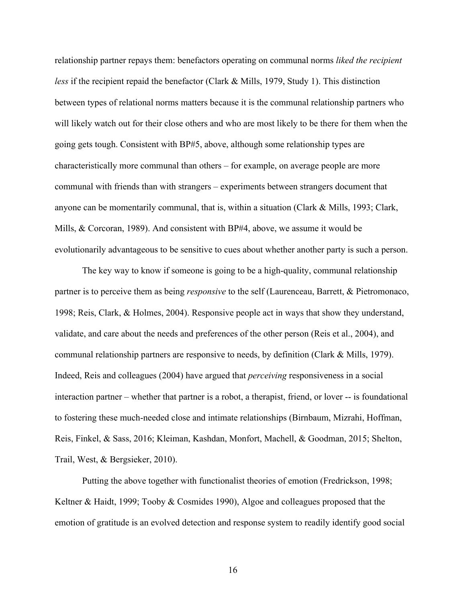relationship partner repays them: benefactors operating on communal norms *liked the recipient less* if the recipient repaid the benefactor (Clark & Mills, 1979, Study 1). This distinction between types of relational norms matters because it is the communal relationship partners who will likely watch out for their close others and who are most likely to be there for them when the going gets tough. Consistent with BP#5, above, although some relationship types are characteristically more communal than others – for example, on average people are more communal with friends than with strangers – experiments between strangers document that anyone can be momentarily communal, that is, within a situation (Clark & Mills, 1993; Clark, Mills, & Corcoran, 1989). And consistent with BP#4, above, we assume it would be evolutionarily advantageous to be sensitive to cues about whether another party is such a person.

The key way to know if someone is going to be a high-quality, communal relationship partner is to perceive them as being *responsive* to the self (Laurenceau, Barrett, & Pietromonaco, 1998; Reis, Clark, & Holmes, 2004). Responsive people act in ways that show they understand, validate, and care about the needs and preferences of the other person (Reis et al., 2004), and communal relationship partners are responsive to needs, by definition (Clark & Mills, 1979). Indeed, Reis and colleagues (2004) have argued that *perceiving* responsiveness in a social interaction partner – whether that partner is a robot, a therapist, friend, or lover -- is foundational to fostering these much-needed close and intimate relationships (Birnbaum, Mizrahi, Hoffman, Reis, Finkel, & Sass, 2016; Kleiman, Kashdan, Monfort, Machell, & Goodman, 2015; Shelton, Trail, West, & Bergsieker, 2010).

Putting the above together with functionalist theories of emotion (Fredrickson, 1998; Keltner & Haidt, 1999; Tooby & Cosmides 1990), Algoe and colleagues proposed that the emotion of gratitude is an evolved detection and response system to readily identify good social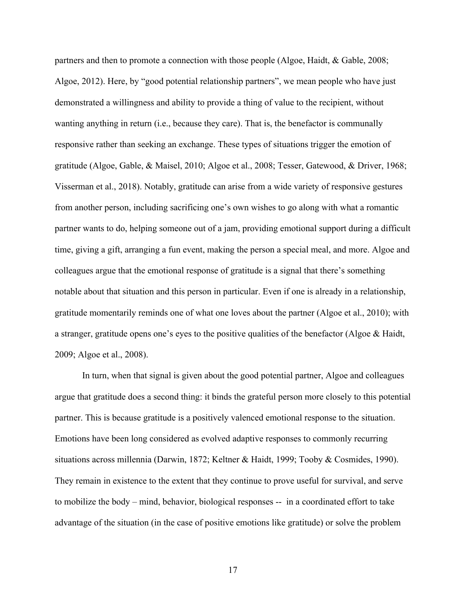partners and then to promote a connection with those people (Algoe, Haidt, & Gable, 2008; Algoe, 2012). Here, by "good potential relationship partners", we mean people who have just demonstrated a willingness and ability to provide a thing of value to the recipient, without wanting anything in return (i.e., because they care). That is, the benefactor is communally responsive rather than seeking an exchange. These types of situations trigger the emotion of gratitude (Algoe, Gable, & Maisel, 2010; Algoe et al., 2008; Tesser, Gatewood, & Driver, 1968; Visserman et al., 2018). Notably, gratitude can arise from a wide variety of responsive gestures from another person, including sacrificing one's own wishes to go along with what a romantic partner wants to do, helping someone out of a jam, providing emotional support during a difficult time, giving a gift, arranging a fun event, making the person a special meal, and more. Algoe and colleagues argue that the emotional response of gratitude is a signal that there's something notable about that situation and this person in particular. Even if one is already in a relationship, gratitude momentarily reminds one of what one loves about the partner (Algoe et al., 2010); with a stranger, gratitude opens one's eyes to the positive qualities of the benefactor (Algoe & Haidt, 2009; Algoe et al., 2008).

In turn, when that signal is given about the good potential partner, Algoe and colleagues argue that gratitude does a second thing: it binds the grateful person more closely to this potential partner. This is because gratitude is a positively valenced emotional response to the situation. Emotions have been long considered as evolved adaptive responses to commonly recurring situations across millennia (Darwin, 1872; Keltner & Haidt, 1999; Tooby & Cosmides, 1990). They remain in existence to the extent that they continue to prove useful for survival, and serve to mobilize the body – mind, behavior, biological responses -- in a coordinated effort to take advantage of the situation (in the case of positive emotions like gratitude) or solve the problem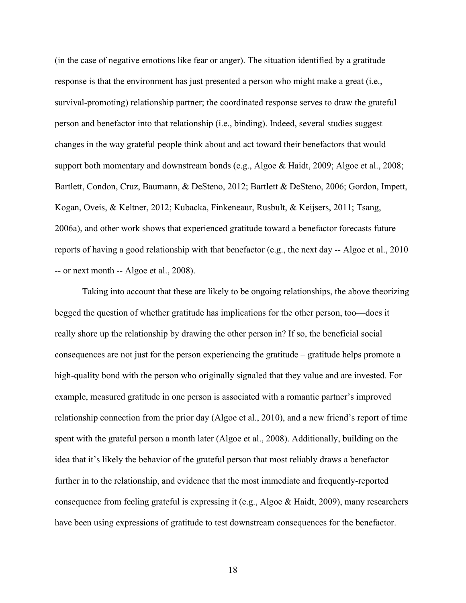(in the case of negative emotions like fear or anger). The situation identified by a gratitude response is that the environment has just presented a person who might make a great (i.e., survival-promoting) relationship partner; the coordinated response serves to draw the grateful person and benefactor into that relationship (i.e., binding). Indeed, several studies suggest changes in the way grateful people think about and act toward their benefactors that would support both momentary and downstream bonds (e.g., Algoe & Haidt, 2009; Algoe et al., 2008; Bartlett, Condon, Cruz, Baumann, & DeSteno, 2012; Bartlett & DeSteno, 2006; Gordon, Impett, Kogan, Oveis, & Keltner, 2012; Kubacka, Finkeneaur, Rusbult, & Keijsers, 2011; Tsang, 2006a), and other work shows that experienced gratitude toward a benefactor forecasts future reports of having a good relationship with that benefactor (e.g., the next day -- Algoe et al., 2010 -- or next month -- Algoe et al., 2008).

Taking into account that these are likely to be ongoing relationships, the above theorizing begged the question of whether gratitude has implications for the other person, too—does it really shore up the relationship by drawing the other person in? If so, the beneficial social consequences are not just for the person experiencing the gratitude – gratitude helps promote a high-quality bond with the person who originally signaled that they value and are invested. For example, measured gratitude in one person is associated with a romantic partner's improved relationship connection from the prior day (Algoe et al., 2010), and a new friend's report of time spent with the grateful person a month later (Algoe et al., 2008). Additionally, building on the idea that it's likely the behavior of the grateful person that most reliably draws a benefactor further in to the relationship, and evidence that the most immediate and frequently-reported consequence from feeling grateful is expressing it (e.g., Algoe & Haidt, 2009), many researchers have been using expressions of gratitude to test downstream consequences for the benefactor.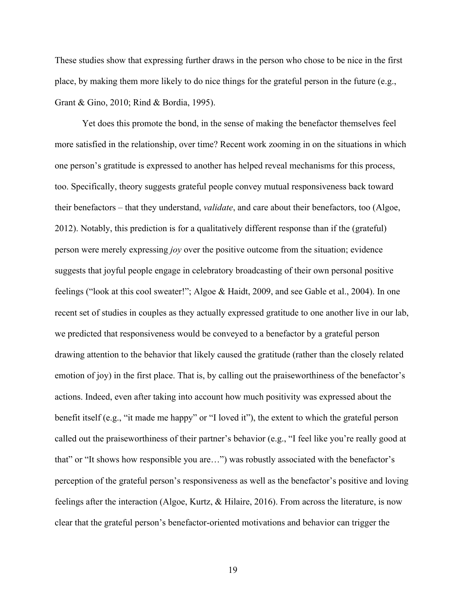These studies show that expressing further draws in the person who chose to be nice in the first place, by making them more likely to do nice things for the grateful person in the future (e.g., Grant & Gino, 2010; Rind & Bordia, 1995).

Yet does this promote the bond, in the sense of making the benefactor themselves feel more satisfied in the relationship, over time? Recent work zooming in on the situations in which one person's gratitude is expressed to another has helped reveal mechanisms for this process, too. Specifically, theory suggests grateful people convey mutual responsiveness back toward their benefactors – that they understand, *validate*, and care about their benefactors, too (Algoe, 2012). Notably, this prediction is for a qualitatively different response than if the (grateful) person were merely expressing *joy* over the positive outcome from the situation; evidence suggests that joyful people engage in celebratory broadcasting of their own personal positive feelings ("look at this cool sweater!"; Algoe & Haidt, 2009, and see Gable et al., 2004). In one recent set of studies in couples as they actually expressed gratitude to one another live in our lab, we predicted that responsiveness would be conveyed to a benefactor by a grateful person drawing attention to the behavior that likely caused the gratitude (rather than the closely related emotion of joy) in the first place. That is, by calling out the praiseworthiness of the benefactor's actions. Indeed, even after taking into account how much positivity was expressed about the benefit itself (e.g., "it made me happy" or "I loved it"), the extent to which the grateful person called out the praiseworthiness of their partner's behavior (e.g., "I feel like you're really good at that" or "It shows how responsible you are…") was robustly associated with the benefactor's perception of the grateful person's responsiveness as well as the benefactor's positive and loving feelings after the interaction (Algoe, Kurtz, & Hilaire, 2016). From across the literature, is now clear that the grateful person's benefactor-oriented motivations and behavior can trigger the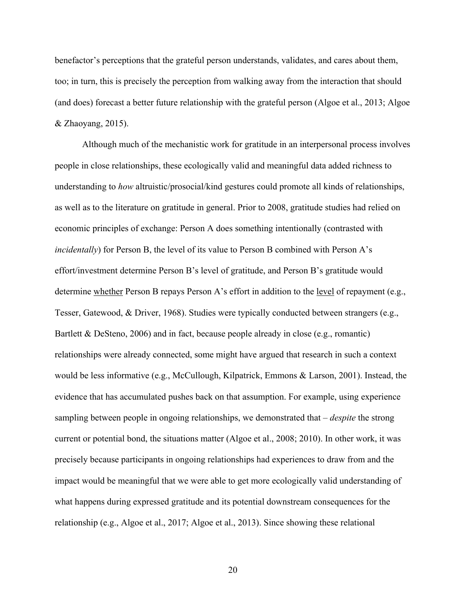benefactor's perceptions that the grateful person understands, validates, and cares about them, too; in turn, this is precisely the perception from walking away from the interaction that should (and does) forecast a better future relationship with the grateful person (Algoe et al., 2013; Algoe & Zhaoyang, 2015).

Although much of the mechanistic work for gratitude in an interpersonal process involves people in close relationships, these ecologically valid and meaningful data added richness to understanding to *how* altruistic/prosocial/kind gestures could promote all kinds of relationships, as well as to the literature on gratitude in general. Prior to 2008, gratitude studies had relied on economic principles of exchange: Person A does something intentionally (contrasted with *incidentally*) for Person B, the level of its value to Person B combined with Person A's effort/investment determine Person B's level of gratitude, and Person B's gratitude would determine whether Person B repays Person A's effort in addition to the level of repayment (e.g., Tesser, Gatewood, & Driver, 1968). Studies were typically conducted between strangers (e.g., Bartlett & DeSteno, 2006) and in fact, because people already in close (e.g., romantic) relationships were already connected, some might have argued that research in such a context would be less informative (e.g., McCullough, Kilpatrick, Emmons & Larson, 2001). Instead, the evidence that has accumulated pushes back on that assumption. For example, using experience sampling between people in ongoing relationships, we demonstrated that – *despite* the strong current or potential bond, the situations matter (Algoe et al., 2008; 2010). In other work, it was precisely because participants in ongoing relationships had experiences to draw from and the impact would be meaningful that we were able to get more ecologically valid understanding of what happens during expressed gratitude and its potential downstream consequences for the relationship (e.g., Algoe et al., 2017; Algoe et al., 2013). Since showing these relational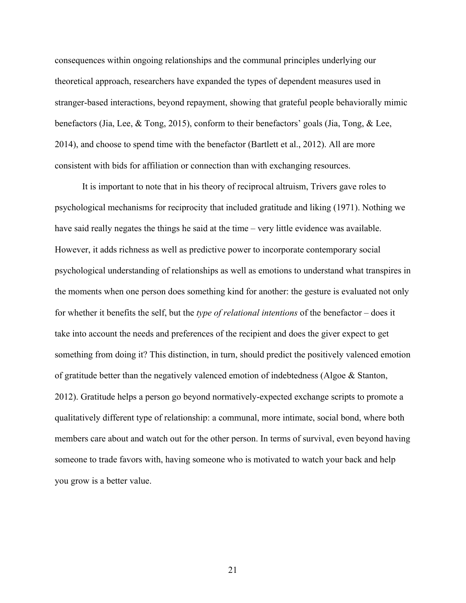consequences within ongoing relationships and the communal principles underlying our theoretical approach, researchers have expanded the types of dependent measures used in stranger-based interactions, beyond repayment, showing that grateful people behaviorally mimic benefactors (Jia, Lee, & Tong, 2015), conform to their benefactors' goals (Jia, Tong, & Lee, 2014), and choose to spend time with the benefactor (Bartlett et al., 2012). All are more consistent with bids for affiliation or connection than with exchanging resources.

It is important to note that in his theory of reciprocal altruism, Trivers gave roles to psychological mechanisms for reciprocity that included gratitude and liking (1971). Nothing we have said really negates the things he said at the time – very little evidence was available. However, it adds richness as well as predictive power to incorporate contemporary social psychological understanding of relationships as well as emotions to understand what transpires in the moments when one person does something kind for another: the gesture is evaluated not only for whether it benefits the self, but the *type of relational intentions* of the benefactor – does it take into account the needs and preferences of the recipient and does the giver expect to get something from doing it? This distinction, in turn, should predict the positively valenced emotion of gratitude better than the negatively valenced emotion of indebtedness (Algoe & Stanton, 2012). Gratitude helps a person go beyond normatively-expected exchange scripts to promote a qualitatively different type of relationship: a communal, more intimate, social bond, where both members care about and watch out for the other person. In terms of survival, even beyond having someone to trade favors with, having someone who is motivated to watch your back and help you grow is a better value.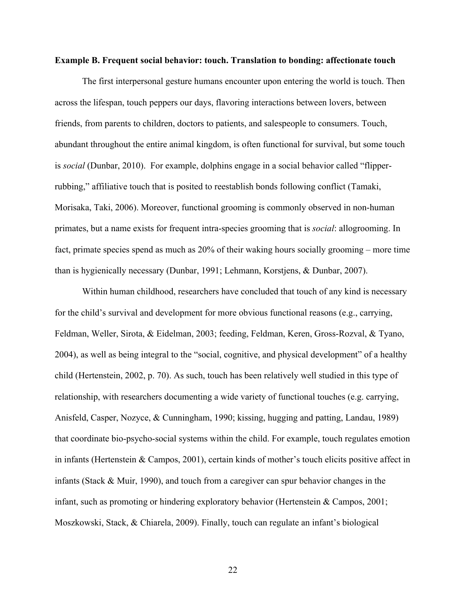## **Example B. Frequent social behavior: touch. Translation to bonding: affectionate touch**

The first interpersonal gesture humans encounter upon entering the world is touch. Then across the lifespan, touch peppers our days, flavoring interactions between lovers, between friends, from parents to children, doctors to patients, and salespeople to consumers. Touch, abundant throughout the entire animal kingdom, is often functional for survival, but some touch is *social* (Dunbar, 2010). For example, dolphins engage in a social behavior called "flipperrubbing," affiliative touch that is posited to reestablish bonds following conflict (Tamaki, Morisaka, Taki, 2006). Moreover, functional grooming is commonly observed in non-human primates, but a name exists for frequent intra-species grooming that is *social*: allogrooming. In fact, primate species spend as much as 20% of their waking hours socially grooming – more time than is hygienically necessary (Dunbar, 1991; Lehmann, Korstjens, & Dunbar, 2007).

Within human childhood, researchers have concluded that touch of any kind is necessary for the child's survival and development for more obvious functional reasons (e.g., carrying, Feldman, Weller, Sirota, & Eidelman, 2003; feeding, Feldman, Keren, Gross-Rozval, & Tyano, 2004), as well as being integral to the "social, cognitive, and physical development" of a healthy child (Hertenstein, 2002, p. 70). As such, touch has been relatively well studied in this type of relationship, with researchers documenting a wide variety of functional touches (e.g. carrying, Anisfeld, Casper, Nozyce, & Cunningham, 1990; kissing, hugging and patting, Landau, 1989) that coordinate bio-psycho-social systems within the child. For example, touch regulates emotion in infants (Hertenstein & Campos, 2001), certain kinds of mother's touch elicits positive affect in infants (Stack & Muir, 1990), and touch from a caregiver can spur behavior changes in the infant, such as promoting or hindering exploratory behavior (Hertenstein & Campos, 2001; Moszkowski, Stack, & Chiarela, 2009). Finally, touch can regulate an infant's biological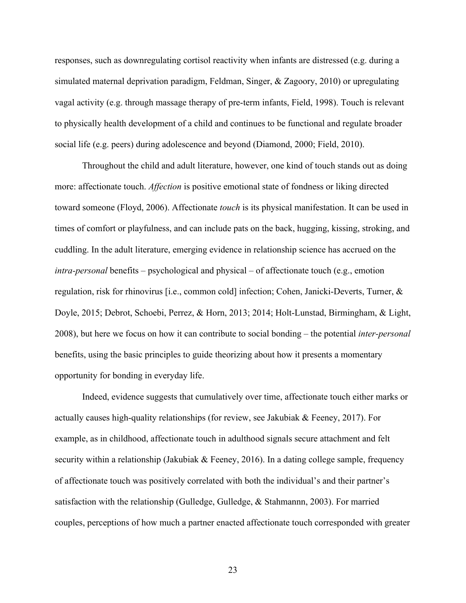responses, such as downregulating cortisol reactivity when infants are distressed (e.g. during a simulated maternal deprivation paradigm, Feldman, Singer, & Zagoory, 2010) or upregulating vagal activity (e.g. through massage therapy of pre-term infants, Field, 1998). Touch is relevant to physically health development of a child and continues to be functional and regulate broader social life (e.g. peers) during adolescence and beyond (Diamond, 2000; Field, 2010).

Throughout the child and adult literature, however, one kind of touch stands out as doing more: affectionate touch. *Affection* is positive emotional state of fondness or liking directed toward someone (Floyd, 2006). Affectionate *touch* is its physical manifestation. It can be used in times of comfort or playfulness, and can include pats on the back, hugging, kissing, stroking, and cuddling. In the adult literature, emerging evidence in relationship science has accrued on the *intra-personal* benefits – psychological and physical – of affectionate touch (e.g., emotion regulation, risk for rhinovirus [i.e., common cold] infection; Cohen, Janicki-Deverts, Turner, & Doyle, 2015; Debrot, Schoebi, Perrez, & Horn, 2013; 2014; Holt-Lunstad, Birmingham, & Light, 2008), but here we focus on how it can contribute to social bonding – the potential *inter-personal* benefits, using the basic principles to guide theorizing about how it presents a momentary opportunity for bonding in everyday life.

Indeed, evidence suggests that cumulatively over time, affectionate touch either marks or actually causes high-quality relationships (for review, see Jakubiak & Feeney, 2017). For example, as in childhood, affectionate touch in adulthood signals secure attachment and felt security within a relationship (Jakubiak  $&$  Feeney, 2016). In a dating college sample, frequency of affectionate touch was positively correlated with both the individual's and their partner's satisfaction with the relationship (Gulledge, Gulledge, & Stahmannn, 2003). For married couples, perceptions of how much a partner enacted affectionate touch corresponded with greater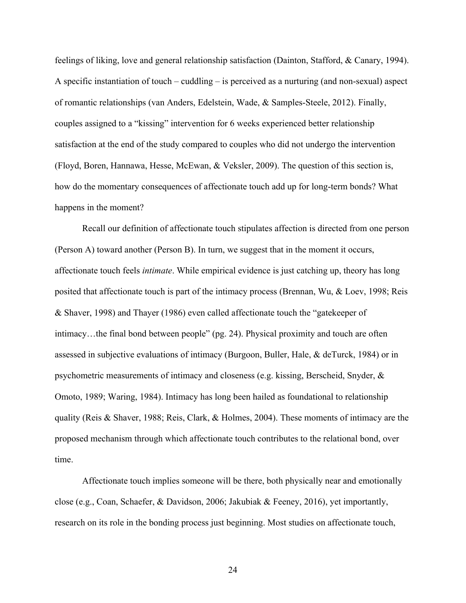feelings of liking, love and general relationship satisfaction (Dainton, Stafford, & Canary, 1994). A specific instantiation of touch – cuddling – is perceived as a nurturing (and non-sexual) aspect of romantic relationships (van Anders, Edelstein, Wade, & Samples-Steele, 2012). Finally, couples assigned to a "kissing" intervention for 6 weeks experienced better relationship satisfaction at the end of the study compared to couples who did not undergo the intervention (Floyd, Boren, Hannawa, Hesse, McEwan, & Veksler, 2009). The question of this section is, how do the momentary consequences of affectionate touch add up for long-term bonds? What happens in the moment?

Recall our definition of affectionate touch stipulates affection is directed from one person (Person A) toward another (Person B). In turn, we suggest that in the moment it occurs, affectionate touch feels *intimate*. While empirical evidence is just catching up, theory has long posited that affectionate touch is part of the intimacy process (Brennan, Wu, & Loev, 1998; Reis & Shaver, 1998) and Thayer (1986) even called affectionate touch the "gatekeeper of intimacy…the final bond between people" (pg. 24). Physical proximity and touch are often assessed in subjective evaluations of intimacy (Burgoon, Buller, Hale, & deTurck, 1984) or in psychometric measurements of intimacy and closeness (e.g. kissing, Berscheid, Snyder, & Omoto, 1989; Waring, 1984). Intimacy has long been hailed as foundational to relationship quality (Reis & Shaver, 1988; Reis, Clark, & Holmes, 2004). These moments of intimacy are the proposed mechanism through which affectionate touch contributes to the relational bond, over time.

Affectionate touch implies someone will be there, both physically near and emotionally close (e.g., Coan, Schaefer, & Davidson, 2006; Jakubiak & Feeney, 2016), yet importantly, research on its role in the bonding process just beginning. Most studies on affectionate touch,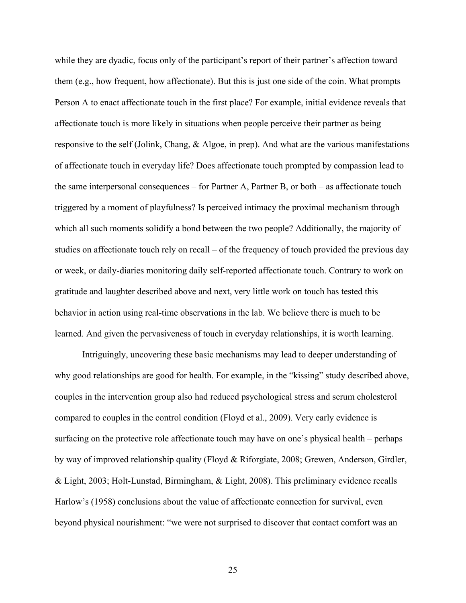while they are dyadic, focus only of the participant's report of their partner's affection toward them (e.g., how frequent, how affectionate). But this is just one side of the coin. What prompts Person A to enact affectionate touch in the first place? For example, initial evidence reveals that affectionate touch is more likely in situations when people perceive their partner as being responsive to the self (Jolink, Chang, & Algoe, in prep). And what are the various manifestations of affectionate touch in everyday life? Does affectionate touch prompted by compassion lead to the same interpersonal consequences – for Partner A, Partner B, or both – as affectionate touch triggered by a moment of playfulness? Is perceived intimacy the proximal mechanism through which all such moments solidify a bond between the two people? Additionally, the majority of studies on affectionate touch rely on recall – of the frequency of touch provided the previous day or week, or daily-diaries monitoring daily self-reported affectionate touch. Contrary to work on gratitude and laughter described above and next, very little work on touch has tested this behavior in action using real-time observations in the lab. We believe there is much to be learned. And given the pervasiveness of touch in everyday relationships, it is worth learning.

Intriguingly, uncovering these basic mechanisms may lead to deeper understanding of why good relationships are good for health. For example, in the "kissing" study described above, couples in the intervention group also had reduced psychological stress and serum cholesterol compared to couples in the control condition (Floyd et al., 2009). Very early evidence is surfacing on the protective role affectionate touch may have on one's physical health – perhaps by way of improved relationship quality (Floyd & Riforgiate, 2008; Grewen, Anderson, Girdler, & Light, 2003; Holt-Lunstad, Birmingham, & Light, 2008). This preliminary evidence recalls Harlow's (1958) conclusions about the value of affectionate connection for survival, even beyond physical nourishment: "we were not surprised to discover that contact comfort was an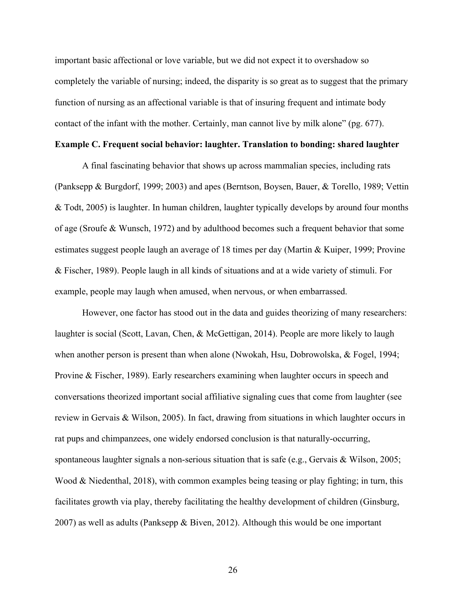important basic affectional or love variable, but we did not expect it to overshadow so completely the variable of nursing; indeed, the disparity is so great as to suggest that the primary function of nursing as an affectional variable is that of insuring frequent and intimate body contact of the infant with the mother. Certainly, man cannot live by milk alone" (pg. 677).

## **Example C. Frequent social behavior: laughter. Translation to bonding: shared laughter**

A final fascinating behavior that shows up across mammalian species, including rats (Panksepp & Burgdorf, 1999; 2003) and apes (Berntson, Boysen, Bauer, & Torello, 1989; Vettin & Todt, 2005) is laughter. In human children, laughter typically develops by around four months of age (Sroufe & Wunsch, 1972) and by adulthood becomes such a frequent behavior that some estimates suggest people laugh an average of 18 times per day (Martin & Kuiper, 1999; Provine & Fischer, 1989). People laugh in all kinds of situations and at a wide variety of stimuli. For example, people may laugh when amused, when nervous, or when embarrassed.

However, one factor has stood out in the data and guides theorizing of many researchers: laughter is social (Scott, Lavan, Chen, & McGettigan, 2014). People are more likely to laugh when another person is present than when alone (Nwokah, Hsu, Dobrowolska, & Fogel, 1994; Provine & Fischer, 1989). Early researchers examining when laughter occurs in speech and conversations theorized important social affiliative signaling cues that come from laughter (see review in Gervais & Wilson, 2005). In fact, drawing from situations in which laughter occurs in rat pups and chimpanzees, one widely endorsed conclusion is that naturally-occurring, spontaneous laughter signals a non-serious situation that is safe (e.g., Gervais & Wilson, 2005; Wood & Niedenthal, 2018), with common examples being teasing or play fighting; in turn, this facilitates growth via play, thereby facilitating the healthy development of children (Ginsburg, 2007) as well as adults (Panksepp & Biven, 2012). Although this would be one important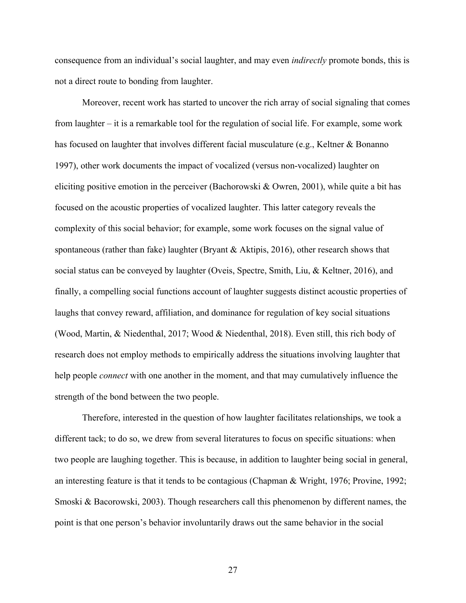consequence from an individual's social laughter, and may even *indirectly* promote bonds, this is not a direct route to bonding from laughter.

Moreover, recent work has started to uncover the rich array of social signaling that comes from laughter – it is a remarkable tool for the regulation of social life. For example, some work has focused on laughter that involves different facial musculature (e.g., Keltner & Bonanno 1997), other work documents the impact of vocalized (versus non-vocalized) laughter on eliciting positive emotion in the perceiver (Bachorowski & Owren, 2001), while quite a bit has focused on the acoustic properties of vocalized laughter. This latter category reveals the complexity of this social behavior; for example, some work focuses on the signal value of spontaneous (rather than fake) laughter (Bryant & Aktipis, 2016), other research shows that social status can be conveyed by laughter (Oveis, Spectre, Smith, Liu, & Keltner, 2016), and finally, a compelling social functions account of laughter suggests distinct acoustic properties of laughs that convey reward, affiliation, and dominance for regulation of key social situations (Wood, Martin, & Niedenthal, 2017; Wood & Niedenthal, 2018). Even still, this rich body of research does not employ methods to empirically address the situations involving laughter that help people *connect* with one another in the moment, and that may cumulatively influence the strength of the bond between the two people.

Therefore, interested in the question of how laughter facilitates relationships, we took a different tack; to do so, we drew from several literatures to focus on specific situations: when two people are laughing together. This is because, in addition to laughter being social in general, an interesting feature is that it tends to be contagious (Chapman & Wright, 1976; Provine, 1992; Smoski & Bacorowski, 2003). Though researchers call this phenomenon by different names, the point is that one person's behavior involuntarily draws out the same behavior in the social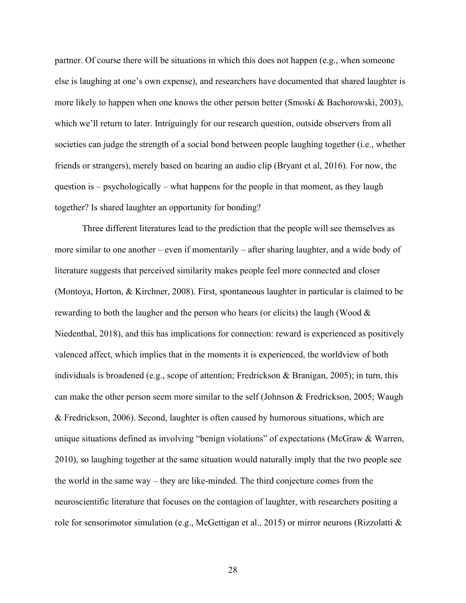partner. Of course there will be situations in which this does not happen (e.g., when someone else is laughing at one's own expense), and researchers have documented that shared laughter is more likely to happen when one knows the other person better (Smoski & Bachorowski, 2003), which we'll return to later. Intriguingly for our research question, outside observers from all societies can judge the strength of a social bond between people laughing together (i.e., whether friends or strangers), merely based on hearing an audio clip (Bryant et al, 2016). For now, the question is – psychologically – what happens for the people in that moment, as they laugh together? Is shared laughter an opportunity for bonding?

Three different literatures lead to the prediction that the people will see themselves as more similar to one another – even if momentarily – after sharing laughter, and a wide body of literature suggests that perceived similarity makes people feel more connected and closer (Montoya, Horton, & Kirchner, 2008). First, spontaneous laughter in particular is claimed to be rewarding to both the laugher and the person who hears (or elicits) the laugh (Wood  $\&$ Niedenthal, 2018), and this has implications for connection: reward is experienced as positively valenced affect, which implies that in the moments it is experienced, the worldview of both individuals is broadened (e.g., scope of attention; Fredrickson & Branigan, 2005); in turn, this can make the other person seem more similar to the self (Johnson & Fredrickson, 2005; Waugh & Fredrickson, 2006). Second, laughter is often caused by humorous situations, which are unique situations defined as involving "benign violations" of expectations (McGraw & Warren, 2010), so laughing together at the same situation would naturally imply that the two people see the world in the same way – they are like-minded. The third conjecture comes from the neuroscientific literature that focuses on the contagion of laughter, with researchers positing a role for sensorimotor simulation (e.g., McGettigan et al., 2015) or mirror neurons (Rizzolatti &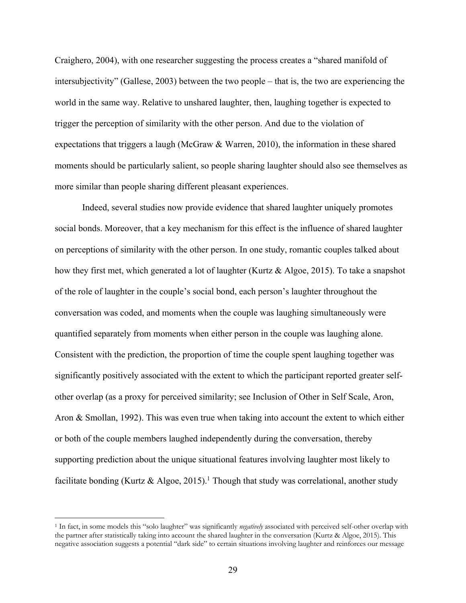Craighero, 2004), with one researcher suggesting the process creates a "shared manifold of intersubjectivity" (Gallese, 2003) between the two people – that is, the two are experiencing the world in the same way. Relative to unshared laughter, then, laughing together is expected to trigger the perception of similarity with the other person. And due to the violation of expectations that triggers a laugh (McGraw & Warren, 2010), the information in these shared moments should be particularly salient, so people sharing laughter should also see themselves as more similar than people sharing different pleasant experiences.

Indeed, several studies now provide evidence that shared laughter uniquely promotes social bonds. Moreover, that a key mechanism for this effect is the influence of shared laughter on perceptions of similarity with the other person. In one study, romantic couples talked about how they first met, which generated a lot of laughter (Kurtz & Algoe, 2015). To take a snapshot of the role of laughter in the couple's social bond, each person's laughter throughout the conversation was coded, and moments when the couple was laughing simultaneously were quantified separately from moments when either person in the couple was laughing alone. Consistent with the prediction, the proportion of time the couple spent laughing together was significantly positively associated with the extent to which the participant reported greater selfother overlap (as a proxy for perceived similarity; see Inclusion of Other in Self Scale, Aron, Aron & Smollan, 1992). This was even true when taking into account the extent to which either or both of the couple members laughed independently during the conversation, thereby supporting prediction about the unique situational features involving laughter most likely to facilitate bonding (Kurtz & Algoe, 2015).<sup>1</sup> Though that study was correlational, another study

 $\overline{a}$ 

<sup>1</sup> In fact, in some models this "solo laughter" was significantly *negatively* associated with perceived self-other overlap with the partner after statistically taking into account the shared laughter in the conversation (Kurtz & Algoe, 2015). This negative association suggests a potential "dark side" to certain situations involving laughter and reinforces our message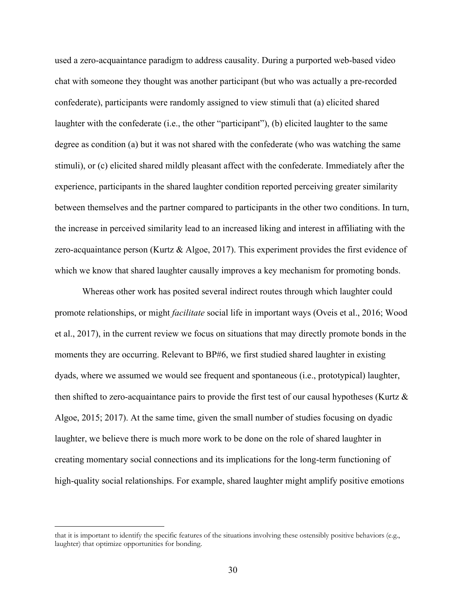used a zero-acquaintance paradigm to address causality. During a purported web-based video chat with someone they thought was another participant (but who was actually a pre-recorded confederate), participants were randomly assigned to view stimuli that (a) elicited shared laughter with the confederate (i.e., the other "participant"), (b) elicited laughter to the same degree as condition (a) but it was not shared with the confederate (who was watching the same stimuli), or (c) elicited shared mildly pleasant affect with the confederate. Immediately after the experience, participants in the shared laughter condition reported perceiving greater similarity between themselves and the partner compared to participants in the other two conditions. In turn, the increase in perceived similarity lead to an increased liking and interest in affiliating with the zero-acquaintance person (Kurtz & Algoe, 2017). This experiment provides the first evidence of which we know that shared laughter causally improves a key mechanism for promoting bonds.

Whereas other work has posited several indirect routes through which laughter could promote relationships, or might *facilitate* social life in important ways (Oveis et al., 2016; Wood et al., 2017), in the current review we focus on situations that may directly promote bonds in the moments they are occurring. Relevant to BP#6, we first studied shared laughter in existing dyads, where we assumed we would see frequent and spontaneous (i.e., prototypical) laughter, then shifted to zero-acquaintance pairs to provide the first test of our causal hypotheses (Kurtz  $\&$ Algoe, 2015; 2017). At the same time, given the small number of studies focusing on dyadic laughter, we believe there is much more work to be done on the role of shared laughter in creating momentary social connections and its implications for the long-term functioning of high-quality social relationships. For example, shared laughter might amplify positive emotions

 $\overline{a}$ 

that it is important to identify the specific features of the situations involving these ostensibly positive behaviors (e.g., laughter) that optimize opportunities for bonding.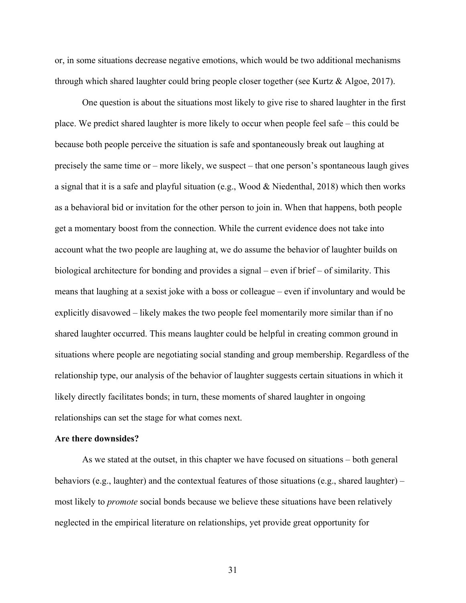or, in some situations decrease negative emotions, which would be two additional mechanisms through which shared laughter could bring people closer together (see Kurtz & Algoe, 2017).

One question is about the situations most likely to give rise to shared laughter in the first place. We predict shared laughter is more likely to occur when people feel safe – this could be because both people perceive the situation is safe and spontaneously break out laughing at precisely the same time or – more likely, we suspect – that one person's spontaneous laugh gives a signal that it is a safe and playful situation (e.g., Wood & Niedenthal, 2018) which then works as a behavioral bid or invitation for the other person to join in. When that happens, both people get a momentary boost from the connection. While the current evidence does not take into account what the two people are laughing at, we do assume the behavior of laughter builds on biological architecture for bonding and provides a signal – even if brief – of similarity. This means that laughing at a sexist joke with a boss or colleague – even if involuntary and would be explicitly disavowed – likely makes the two people feel momentarily more similar than if no shared laughter occurred. This means laughter could be helpful in creating common ground in situations where people are negotiating social standing and group membership. Regardless of the relationship type, our analysis of the behavior of laughter suggests certain situations in which it likely directly facilitates bonds; in turn, these moments of shared laughter in ongoing relationships can set the stage for what comes next.

## **Are there downsides?**

As we stated at the outset, in this chapter we have focused on situations – both general behaviors (e.g., laughter) and the contextual features of those situations (e.g., shared laughter) – most likely to *promote* social bonds because we believe these situations have been relatively neglected in the empirical literature on relationships, yet provide great opportunity for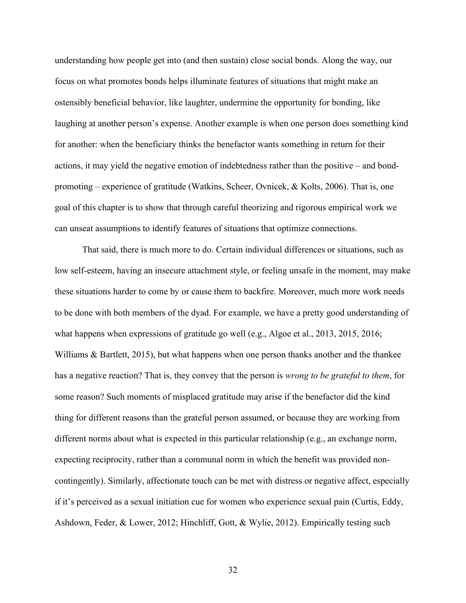understanding how people get into (and then sustain) close social bonds. Along the way, our focus on what promotes bonds helps illuminate features of situations that might make an ostensibly beneficial behavior, like laughter, undermine the opportunity for bonding, like laughing at another person's expense. Another example is when one person does something kind for another: when the beneficiary thinks the benefactor wants something in return for their actions, it may yield the negative emotion of indebtedness rather than the positive – and bondpromoting – experience of gratitude (Watkins, Scheer, Ovnicek,  $\&$  Kolts, 2006). That is, one goal of this chapter is to show that through careful theorizing and rigorous empirical work we can unseat assumptions to identify features of situations that optimize connections.

That said, there is much more to do. Certain individual differences or situations, such as low self-esteem, having an insecure attachment style, or feeling unsafe in the moment, may make these situations harder to come by or cause them to backfire. Moreover, much more work needs to be done with both members of the dyad. For example, we have a pretty good understanding of what happens when expressions of gratitude go well (e.g., Algoe et al., 2013, 2015, 2016; Williams & Bartlett, 2015), but what happens when one person thanks another and the thankee has a negative reaction? That is, they convey that the person is *wrong to be grateful to them*, for some reason? Such moments of misplaced gratitude may arise if the benefactor did the kind thing for different reasons than the grateful person assumed, or because they are working from different norms about what is expected in this particular relationship (e.g., an exchange norm, expecting reciprocity, rather than a communal norm in which the benefit was provided noncontingently). Similarly, affectionate touch can be met with distress or negative affect, especially if it's perceived as a sexual initiation cue for women who experience sexual pain (Curtis, Eddy, Ashdown, Feder, & Lower, 2012; Hinchliff, Gott, & Wylie, 2012). Empirically testing such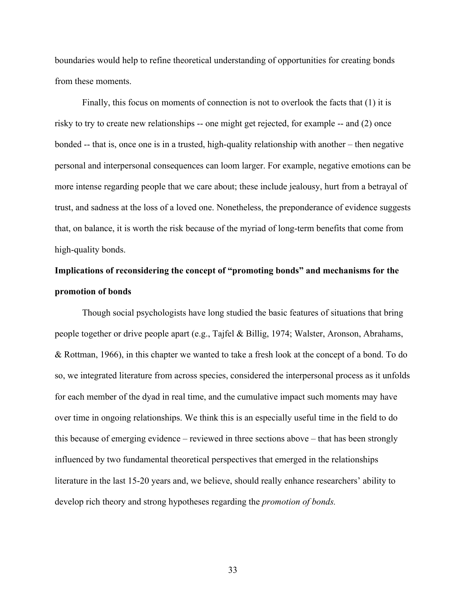boundaries would help to refine theoretical understanding of opportunities for creating bonds from these moments.

Finally, this focus on moments of connection is not to overlook the facts that (1) it is risky to try to create new relationships -- one might get rejected, for example -- and (2) once bonded -- that is, once one is in a trusted, high-quality relationship with another – then negative personal and interpersonal consequences can loom larger. For example, negative emotions can be more intense regarding people that we care about; these include jealousy, hurt from a betrayal of trust, and sadness at the loss of a loved one. Nonetheless, the preponderance of evidence suggests that, on balance, it is worth the risk because of the myriad of long-term benefits that come from high-quality bonds.

# **Implications of reconsidering the concept of "promoting bonds" and mechanisms for the promotion of bonds**

Though social psychologists have long studied the basic features of situations that bring people together or drive people apart (e.g., Tajfel & Billig, 1974; Walster, Aronson, Abrahams, & Rottman, 1966), in this chapter we wanted to take a fresh look at the concept of a bond. To do so, we integrated literature from across species, considered the interpersonal process as it unfolds for each member of the dyad in real time, and the cumulative impact such moments may have over time in ongoing relationships. We think this is an especially useful time in the field to do this because of emerging evidence – reviewed in three sections above – that has been strongly influenced by two fundamental theoretical perspectives that emerged in the relationships literature in the last 15-20 years and, we believe, should really enhance researchers' ability to develop rich theory and strong hypotheses regarding the *promotion of bonds.*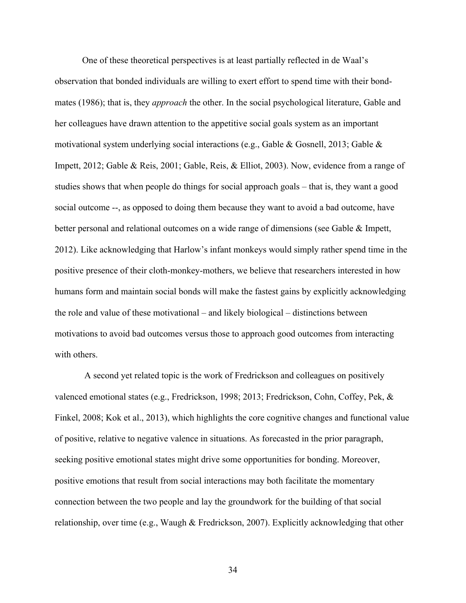One of these theoretical perspectives is at least partially reflected in de Waal's observation that bonded individuals are willing to exert effort to spend time with their bondmates (1986); that is, they *approach* the other. In the social psychological literature, Gable and her colleagues have drawn attention to the appetitive social goals system as an important motivational system underlying social interactions (e.g., Gable & Gosnell, 2013; Gable & Impett, 2012; Gable & Reis, 2001; Gable, Reis, & Elliot, 2003). Now, evidence from a range of studies shows that when people do things for social approach goals – that is, they want a good social outcome --, as opposed to doing them because they want to avoid a bad outcome, have better personal and relational outcomes on a wide range of dimensions (see Gable & Impett, 2012). Like acknowledging that Harlow's infant monkeys would simply rather spend time in the positive presence of their cloth-monkey-mothers, we believe that researchers interested in how humans form and maintain social bonds will make the fastest gains by explicitly acknowledging the role and value of these motivational – and likely biological – distinctions between motivations to avoid bad outcomes versus those to approach good outcomes from interacting with others.

A second yet related topic is the work of Fredrickson and colleagues on positively valenced emotional states (e.g., Fredrickson, 1998; 2013; Fredrickson, Cohn, Coffey, Pek, & Finkel, 2008; Kok et al., 2013), which highlights the core cognitive changes and functional value of positive, relative to negative valence in situations. As forecasted in the prior paragraph, seeking positive emotional states might drive some opportunities for bonding. Moreover, positive emotions that result from social interactions may both facilitate the momentary connection between the two people and lay the groundwork for the building of that social relationship, over time (e.g., Waugh & Fredrickson, 2007). Explicitly acknowledging that other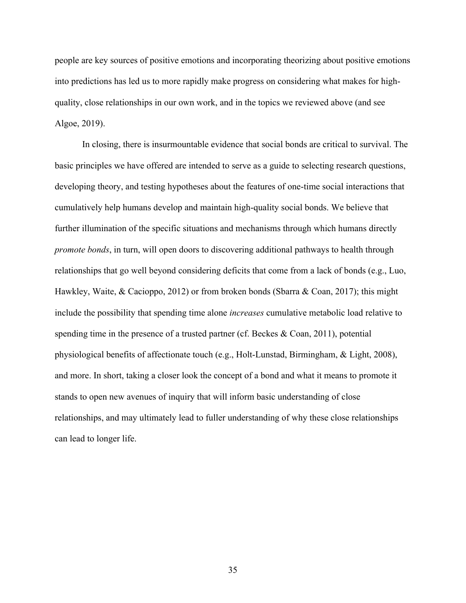people are key sources of positive emotions and incorporating theorizing about positive emotions into predictions has led us to more rapidly make progress on considering what makes for highquality, close relationships in our own work, and in the topics we reviewed above (and see Algoe, 2019).

In closing, there is insurmountable evidence that social bonds are critical to survival. The basic principles we have offered are intended to serve as a guide to selecting research questions, developing theory, and testing hypotheses about the features of one-time social interactions that cumulatively help humans develop and maintain high-quality social bonds. We believe that further illumination of the specific situations and mechanisms through which humans directly *promote bonds*, in turn, will open doors to discovering additional pathways to health through relationships that go well beyond considering deficits that come from a lack of bonds (e.g., Luo, Hawkley, Waite, & Cacioppo, 2012) or from broken bonds (Sbarra & Coan, 2017); this might include the possibility that spending time alone *increases* cumulative metabolic load relative to spending time in the presence of a trusted partner (cf. Beckes  $\&$  Coan, 2011), potential physiological benefits of affectionate touch (e.g., Holt-Lunstad, Birmingham, & Light, 2008), and more. In short, taking a closer look the concept of a bond and what it means to promote it stands to open new avenues of inquiry that will inform basic understanding of close relationships, and may ultimately lead to fuller understanding of why these close relationships can lead to longer life.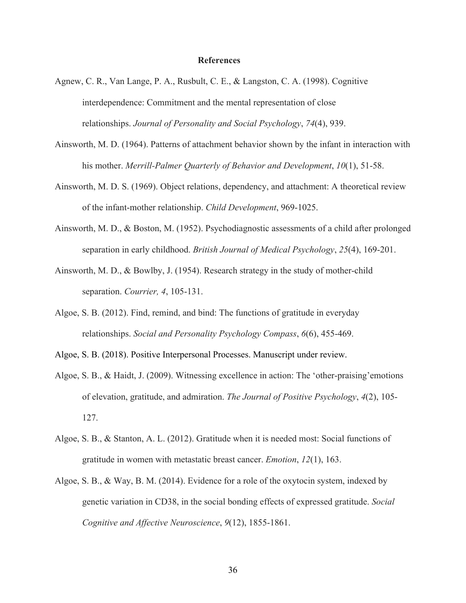## **References**

- Agnew, C. R., Van Lange, P. A., Rusbult, C. E., & Langston, C. A. (1998). Cognitive interdependence: Commitment and the mental representation of close relationships. *Journal of Personality and Social Psychology*, *74*(4), 939.
- Ainsworth, M. D. (1964). Patterns of attachment behavior shown by the infant in interaction with his mother. *Merrill-Palmer Quarterly of Behavior and Development*, *10*(1), 51-58.
- Ainsworth, M. D. S. (1969). Object relations, dependency, and attachment: A theoretical review of the infant-mother relationship. *Child Development*, 969-1025.
- Ainsworth, M. D., & Boston, M. (1952). Psychodiagnostic assessments of a child after prolonged separation in early childhood. *British Journal of Medical Psychology*, *25*(4), 169-201.
- Ainsworth, M. D., & Bowlby, J. (1954). Research strategy in the study of mother-child separation. *Courrier, 4*, 105-131.
- Algoe, S. B. (2012). Find, remind, and bind: The functions of gratitude in everyday relationships. *Social and Personality Psychology Compass*, *6*(6), 455-469.
- Algoe, S. B. (2018). Positive Interpersonal Processes. Manuscript under review.
- Algoe, S. B., & Haidt, J. (2009). Witnessing excellence in action: The 'other-praising'emotions of elevation, gratitude, and admiration. *The Journal of Positive Psychology*, *4*(2), 105- 127.
- Algoe, S. B., & Stanton, A. L. (2012). Gratitude when it is needed most: Social functions of gratitude in women with metastatic breast cancer. *Emotion*, *12*(1), 163.
- Algoe, S. B., & Way, B. M. (2014). Evidence for a role of the oxytocin system, indexed by genetic variation in CD38, in the social bonding effects of expressed gratitude. *Social Cognitive and Affective Neuroscience*, *9*(12), 1855-1861.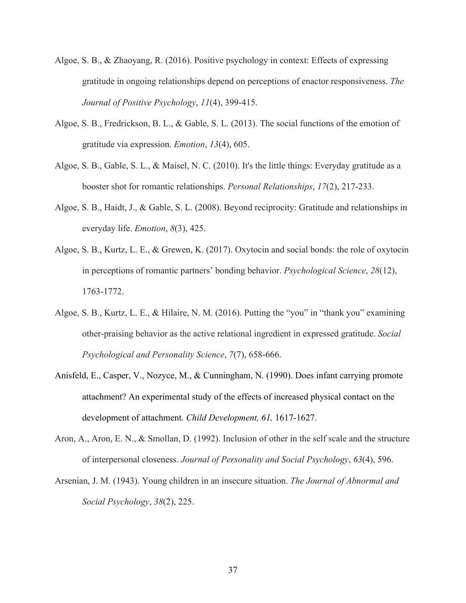- Algoe, S. B., & Zhaoyang, R. (2016). Positive psychology in context: Effects of expressing gratitude in ongoing relationships depend on perceptions of enactor responsiveness. *The Journal of Positive Psychology*, *11*(4), 399-415.
- Algoe, S. B., Fredrickson, B. L., & Gable, S. L. (2013). The social functions of the emotion of gratitude via expression. *Emotion*, *13*(4), 605.
- Algoe, S. B., Gable, S. L., & Maisel, N. C. (2010). It's the little things: Everyday gratitude as a booster shot for romantic relationships. *Personal Relationships*, *17*(2), 217-233.
- Algoe, S. B., Haidt, J., & Gable, S. L. (2008). Beyond reciprocity: Gratitude and relationships in everyday life. *Emotion*, *8*(3), 425.
- Algoe, S. B., Kurtz, L. E., & Grewen, K. (2017). Oxytocin and social bonds: the role of oxytocin in perceptions of romantic partners' bonding behavior. *Psychological Science*, *28*(12), 1763-1772.
- Algoe, S. B., Kurtz, L. E., & Hilaire, N. M. (2016). Putting the "you" in "thank you" examining other-praising behavior as the active relational ingredient in expressed gratitude. *Social Psychological and Personality Science*, *7*(7), 658-666.
- Anisfeld, E., Casper, V., Nozyce, M., & Cunningham, N. (1990). Does infant carrying promote attachment? An experimental study of the effects of increased physical contact on the development of attachment. *Child Development, 61,* 1617-1627.
- Aron, A., Aron, E. N., & Smollan, D. (1992). Inclusion of other in the self scale and the structure of interpersonal closeness. *Journal of Personality and Social Psychology*, *63*(4), 596.
- Arsenian, J. M. (1943). Young children in an insecure situation. *The Journal of Abnormal and Social Psychology*, *38*(2), 225.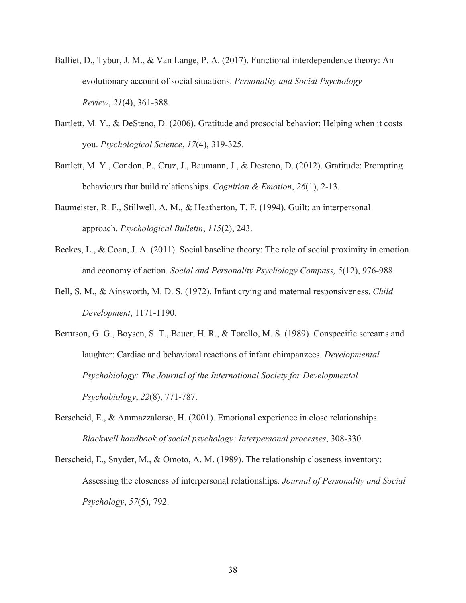- Balliet, D., Tybur, J. M., & Van Lange, P. A. (2017). Functional interdependence theory: An evolutionary account of social situations. *Personality and Social Psychology Review*, *21*(4), 361-388.
- Bartlett, M. Y., & DeSteno, D. (2006). Gratitude and prosocial behavior: Helping when it costs you. *Psychological Science*, *17*(4), 319-325.
- Bartlett, M. Y., Condon, P., Cruz, J., Baumann, J., & Desteno, D. (2012). Gratitude: Prompting behaviours that build relationships. *Cognition & Emotion*, *26*(1), 2-13.
- Baumeister, R. F., Stillwell, A. M., & Heatherton, T. F. (1994). Guilt: an interpersonal approach. *Psychological Bulletin*, *115*(2), 243.
- Beckes, L., & Coan, J. A. (2011). Social baseline theory: The role of social proximity in emotion and economy of action. *Social and Personality Psychology Compass, 5*(12), 976-988.
- Bell, S. M., & Ainsworth, M. D. S. (1972). Infant crying and maternal responsiveness. *Child Development*, 1171-1190.
- Berntson, G. G., Boysen, S. T., Bauer, H. R., & Torello, M. S. (1989). Conspecific screams and laughter: Cardiac and behavioral reactions of infant chimpanzees. *Developmental Psychobiology: The Journal of the International Society for Developmental Psychobiology*, *22*(8), 771-787.
- Berscheid, E., & Ammazzalorso, H. (2001). Emotional experience in close relationships. *Blackwell handbook of social psychology: Interpersonal processes*, 308-330.
- Berscheid, E., Snyder, M., & Omoto, A. M. (1989). The relationship closeness inventory: Assessing the closeness of interpersonal relationships. *Journal of Personality and Social Psychology*, *57*(5), 792.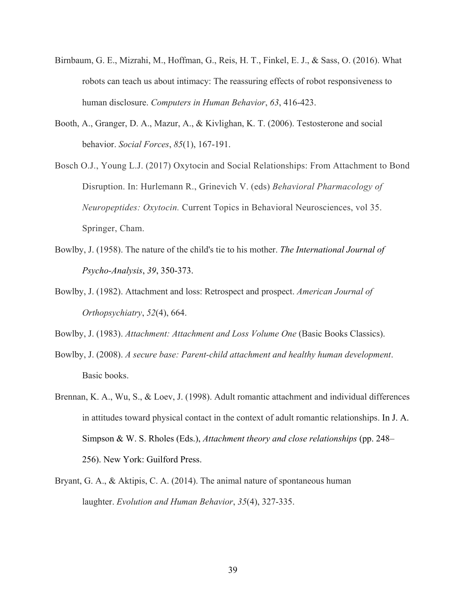- Birnbaum, G. E., Mizrahi, M., Hoffman, G., Reis, H. T., Finkel, E. J., & Sass, O. (2016). What robots can teach us about intimacy: The reassuring effects of robot responsiveness to human disclosure. *Computers in Human Behavior*, *63*, 416-423.
- Booth, A., Granger, D. A., Mazur, A., & Kivlighan, K. T. (2006). Testosterone and social behavior. *Social Forces*, *85*(1), 167-191.
- Bosch O.J., Young L.J. (2017) Oxytocin and Social Relationships: From Attachment to Bond Disruption. In: Hurlemann R., Grinevich V. (eds) *Behavioral Pharmacology of Neuropeptides: Oxytocin.* Current Topics in Behavioral Neurosciences, vol 35. Springer, Cham.
- Bowlby, J. (1958). The nature of the child's tie to his mother. *The International Journal of Psycho-Analysis*, *39*, 350-373.
- Bowlby, J. (1982). Attachment and loss: Retrospect and prospect. *American Journal of Orthopsychiatry*, *52*(4), 664.

Bowlby, J. (1983). *Attachment: Attachment and Loss Volume One* (Basic Books Classics).

- Bowlby, J. (2008). *A secure base: Parent-child attachment and healthy human development*. Basic books.
- Brennan, K. A., Wu, S., & Loev, J. (1998). Adult romantic attachment and individual differences in attitudes toward physical contact in the context of adult romantic relationships. In J. A. Simpson & W. S. Rholes (Eds.), *Attachment theory and close relationships* (pp. 248– 256). New York: Guilford Press.
- Bryant, G. A., & Aktipis, C. A. (2014). The animal nature of spontaneous human laughter. *Evolution and Human Behavior*, *35*(4), 327-335.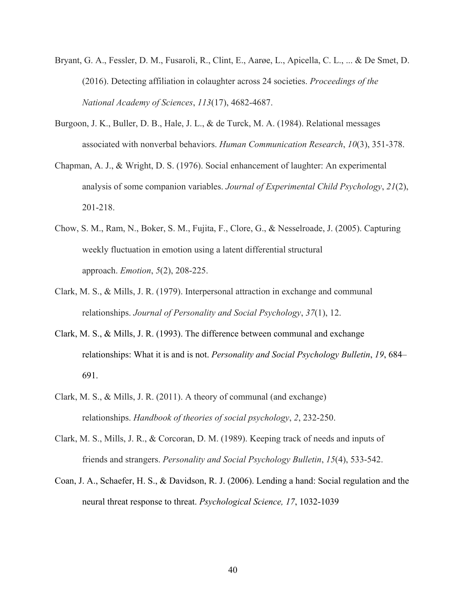- Bryant, G. A., Fessler, D. M., Fusaroli, R., Clint, E., Aarøe, L., Apicella, C. L., ... & De Smet, D. (2016). Detecting affiliation in colaughter across 24 societies. *Proceedings of the National Academy of Sciences*, *113*(17), 4682-4687.
- Burgoon, J. K., Buller, D. B., Hale, J. L., & de Turck, M. A. (1984). Relational messages associated with nonverbal behaviors. *Human Communication Research*, *10*(3), 351-378.
- Chapman, A. J., & Wright, D. S. (1976). Social enhancement of laughter: An experimental analysis of some companion variables. *Journal of Experimental Child Psychology*, *21*(2), 201-218.
- Chow, S. M., Ram, N., Boker, S. M., Fujita, F., Clore, G., & Nesselroade, J. (2005). Capturing weekly fluctuation in emotion using a latent differential structural approach. *Emotion*, *5*(2), 208-225.
- Clark, M. S., & Mills, J. R. (1979). Interpersonal attraction in exchange and communal relationships. *Journal of Personality and Social Psychology*, *37*(1), 12.
- Clark, M. S., & Mills, J. R. (1993). The difference between communal and exchange relationships: What it is and is not. *Personality and Social Psychology Bulletin*, *19*, 684– 691.
- Clark, M. S., & Mills, J. R. (2011). A theory of communal (and exchange) relationships. *Handbook of theories of social psychology*, *2*, 232-250.
- Clark, M. S., Mills, J. R., & Corcoran, D. M. (1989). Keeping track of needs and inputs of friends and strangers. *Personality and Social Psychology Bulletin*, *15*(4), 533-542.
- Coan, J. A., Schaefer, H. S., & Davidson, R. J. (2006). Lending a hand: Social regulation and the neural threat response to threat. *Psychological Science, 17*, 1032-1039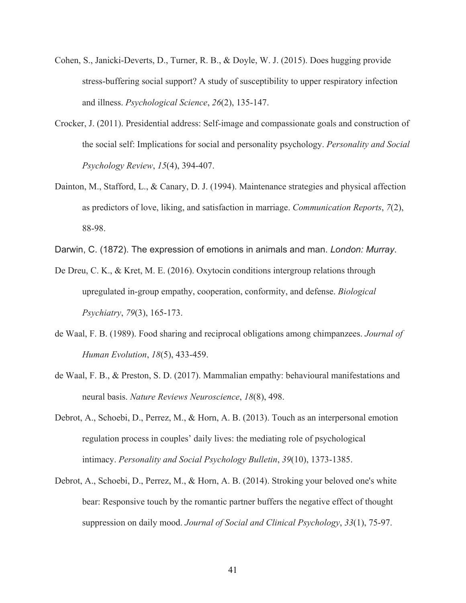- Cohen, S., Janicki-Deverts, D., Turner, R. B., & Doyle, W. J. (2015). Does hugging provide stress-buffering social support? A study of susceptibility to upper respiratory infection and illness. *Psychological Science*, *26*(2), 135-147.
- Crocker, J. (2011). Presidential address: Self-image and compassionate goals and construction of the social self: Implications for social and personality psychology. *Personality and Social Psychology Review*, *15*(4), 394-407.
- Dainton, M., Stafford, L., & Canary, D. J. (1994). Maintenance strategies and physical affection as predictors of love, liking, and satisfaction in marriage. *Communication Reports*, *7*(2), 88-98.
- Darwin, C. (1872). The expression of emotions in animals and man. *London: Murray*.
- De Dreu, C. K., & Kret, M. E. (2016). Oxytocin conditions intergroup relations through upregulated in-group empathy, cooperation, conformity, and defense. *Biological Psychiatry*, *79*(3), 165-173.
- de Waal, F. B. (1989). Food sharing and reciprocal obligations among chimpanzees. *Journal of Human Evolution*, *18*(5), 433-459.
- de Waal, F. B., & Preston, S. D. (2017). Mammalian empathy: behavioural manifestations and neural basis. *Nature Reviews Neuroscience*, *18*(8), 498.
- Debrot, A., Schoebi, D., Perrez, M., & Horn, A. B. (2013). Touch as an interpersonal emotion regulation process in couples' daily lives: the mediating role of psychological intimacy. *Personality and Social Psychology Bulletin*, *39*(10), 1373-1385.
- Debrot, A., Schoebi, D., Perrez, M., & Horn, A. B. (2014). Stroking your beloved one's white bear: Responsive touch by the romantic partner buffers the negative effect of thought suppression on daily mood. *Journal of Social and Clinical Psychology*, *33*(1), 75-97.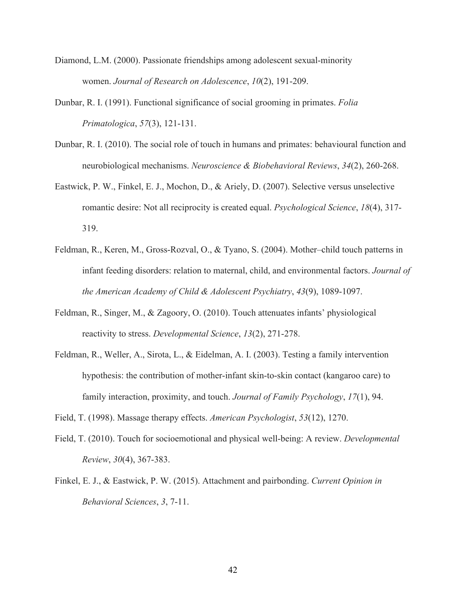- Diamond, L.M. (2000). Passionate friendships among adolescent sexual-minority women. *Journal of Research on Adolescence*, *10*(2), 191-209.
- Dunbar, R. I. (1991). Functional significance of social grooming in primates. *Folia Primatologica*, *57*(3), 121-131.
- Dunbar, R. I. (2010). The social role of touch in humans and primates: behavioural function and neurobiological mechanisms. *Neuroscience & Biobehavioral Reviews*, *34*(2), 260-268.
- Eastwick, P. W., Finkel, E. J., Mochon, D., & Ariely, D. (2007). Selective versus unselective romantic desire: Not all reciprocity is created equal. *Psychological Science*, *18*(4), 317- 319.
- Feldman, R., Keren, M., Gross-Rozval, O., & Tyano, S. (2004). Mother–child touch patterns in infant feeding disorders: relation to maternal, child, and environmental factors. *Journal of the American Academy of Child & Adolescent Psychiatry*, *43*(9), 1089-1097.
- Feldman, R., Singer, M., & Zagoory, O. (2010). Touch attenuates infants' physiological reactivity to stress. *Developmental Science*, *13*(2), 271-278.
- Feldman, R., Weller, A., Sirota, L., & Eidelman, A. I. (2003). Testing a family intervention hypothesis: the contribution of mother-infant skin-to-skin contact (kangaroo care) to family interaction, proximity, and touch. *Journal of Family Psychology*, *17*(1), 94.
- Field, T. (1998). Massage therapy effects. *American Psychologist*, *53*(12), 1270.
- Field, T. (2010). Touch for socioemotional and physical well-being: A review. *Developmental Review*, *30*(4), 367-383.
- Finkel, E. J., & Eastwick, P. W. (2015). Attachment and pairbonding. *Current Opinion in Behavioral Sciences*, *3*, 7-11.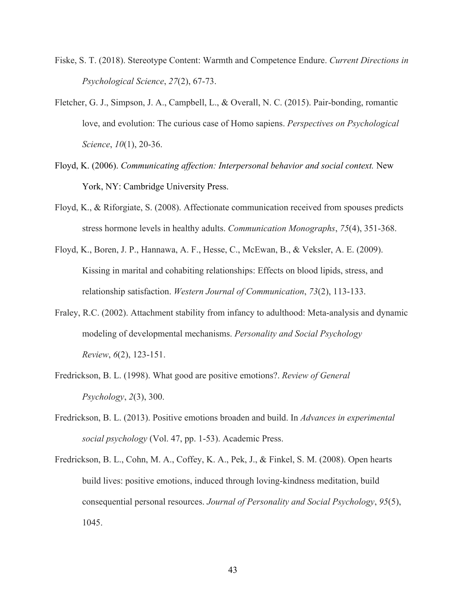- Fiske, S. T. (2018). Stereotype Content: Warmth and Competence Endure. *Current Directions in Psychological Science*, *27*(2), 67-73.
- Fletcher, G. J., Simpson, J. A., Campbell, L., & Overall, N. C. (2015). Pair-bonding, romantic love, and evolution: The curious case of Homo sapiens. *Perspectives on Psychological Science*, *10*(1), 20-36.
- Floyd, K. (2006). *Communicating affection: Interpersonal behavior and social context.* New York, NY: Cambridge University Press.
- Floyd, K., & Riforgiate, S. (2008). Affectionate communication received from spouses predicts stress hormone levels in healthy adults. *Communication Monographs*, *75*(4), 351-368.
- Floyd, K., Boren, J. P., Hannawa, A. F., Hesse, C., McEwan, B., & Veksler, A. E. (2009). Kissing in marital and cohabiting relationships: Effects on blood lipids, stress, and relationship satisfaction. *Western Journal of Communication*, *73*(2), 113-133.
- Fraley, R.C. (2002). Attachment stability from infancy to adulthood: Meta-analysis and dynamic modeling of developmental mechanisms. *Personality and Social Psychology Review*, *6*(2), 123-151.
- Fredrickson, B. L. (1998). What good are positive emotions?. *Review of General Psychology*, *2*(3), 300.
- Fredrickson, B. L. (2013). Positive emotions broaden and build. In *Advances in experimental social psychology* (Vol. 47, pp. 1-53). Academic Press.
- Fredrickson, B. L., Cohn, M. A., Coffey, K. A., Pek, J., & Finkel, S. M. (2008). Open hearts build lives: positive emotions, induced through loving-kindness meditation, build consequential personal resources. *Journal of Personality and Social Psychology*, *95*(5), 1045.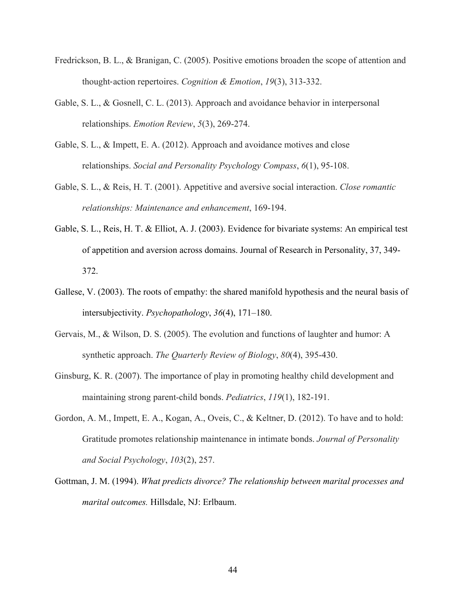- Fredrickson, B. L., & Branigan, C. (2005). Positive emotions broaden the scope of attention and thought-action repertoires. *Cognition & Emotion*, *19*(3), 313-332.
- Gable, S. L., & Gosnell, C. L. (2013). Approach and avoidance behavior in interpersonal relationships. *Emotion Review*, *5*(3), 269-274.
- Gable, S. L., & Impett, E. A. (2012). Approach and avoidance motives and close relationships. *Social and Personality Psychology Compass*, *6*(1), 95-108.
- Gable, S. L., & Reis, H. T. (2001). Appetitive and aversive social interaction. *Close romantic relationships: Maintenance and enhancement*, 169-194.
- Gable, S. L., Reis, H. T. & Elliot, A. J. (2003). Evidence for bivariate systems: An empirical test of appetition and aversion across domains. Journal of Research in Personality, 37, 349- 372.
- Gallese, V. (2003). The roots of empathy: the shared manifold hypothesis and the neural basis of intersubjectivity. *Psychopathology*, *36*(4), 171–180.
- Gervais, M., & Wilson, D. S. (2005). The evolution and functions of laughter and humor: A synthetic approach. *The Quarterly Review of Biology*, *80*(4), 395-430.
- Ginsburg, K. R. (2007). The importance of play in promoting healthy child development and maintaining strong parent-child bonds. *Pediatrics*, *119*(1), 182-191.
- Gordon, A. M., Impett, E. A., Kogan, A., Oveis, C., & Keltner, D. (2012). To have and to hold: Gratitude promotes relationship maintenance in intimate bonds. *Journal of Personality and Social Psychology*, *103*(2), 257.
- Gottman, J. M. (1994). *What predicts divorce? The relationship between marital processes and marital outcomes.* Hillsdale, NJ: Erlbaum.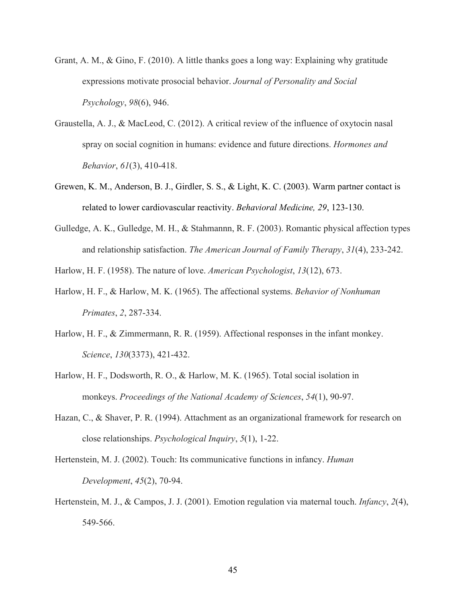- Grant, A. M., & Gino, F. (2010). A little thanks goes a long way: Explaining why gratitude expressions motivate prosocial behavior. *Journal of Personality and Social Psychology*, *98*(6), 946.
- Graustella, A. J., & MacLeod, C. (2012). A critical review of the influence of oxytocin nasal spray on social cognition in humans: evidence and future directions. *Hormones and Behavior*, *61*(3), 410-418.
- Grewen, K. M., Anderson, B. J., Girdler, S. S., & Light, K. C. (2003). Warm partner contact is related to lower cardiovascular reactivity. *Behavioral Medicine, 29*, 123-130.
- Gulledge, A. K., Gulledge, M. H., & Stahmannn, R. F. (2003). Romantic physical affection types and relationship satisfaction. *The American Journal of Family Therapy*, *31*(4), 233-242.

Harlow, H. F. (1958). The nature of love. *American Psychologist*, *13*(12), 673.

- Harlow, H. F., & Harlow, M. K. (1965). The affectional systems. *Behavior of Nonhuman Primates*, *2*, 287-334.
- Harlow, H. F., & Zimmermann, R. R. (1959). Affectional responses in the infant monkey. *Science*, *130*(3373), 421-432.
- Harlow, H. F., Dodsworth, R. O., & Harlow, M. K. (1965). Total social isolation in monkeys. *Proceedings of the National Academy of Sciences*, *54*(1), 90-97.
- Hazan, C., & Shaver, P. R. (1994). Attachment as an organizational framework for research on close relationships. *Psychological Inquiry*, *5*(1), 1-22.
- Hertenstein, M. J. (2002). Touch: Its communicative functions in infancy. *Human Development*, *45*(2), 70-94.
- Hertenstein, M. J., & Campos, J. J. (2001). Emotion regulation via maternal touch. *Infancy*, *2*(4), 549-566.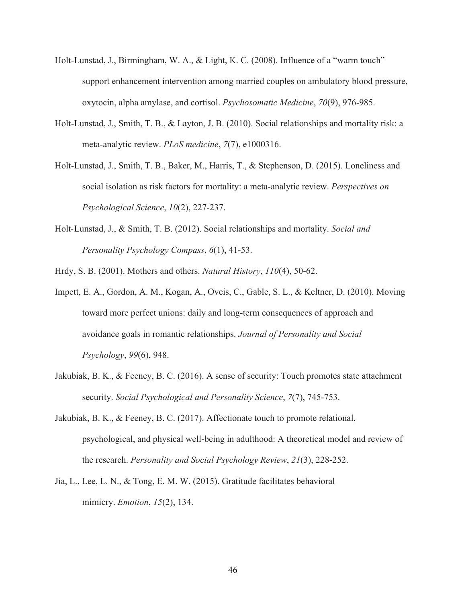- Holt-Lunstad, J., Birmingham, W. A., & Light, K. C. (2008). Influence of a "warm touch" support enhancement intervention among married couples on ambulatory blood pressure, oxytocin, alpha amylase, and cortisol. *Psychosomatic Medicine*, *70*(9), 976-985.
- Holt-Lunstad, J., Smith, T. B., & Layton, J. B. (2010). Social relationships and mortality risk: a meta-analytic review. *PLoS medicine*, *7*(7), e1000316.
- Holt-Lunstad, J., Smith, T. B., Baker, M., Harris, T., & Stephenson, D. (2015). Loneliness and social isolation as risk factors for mortality: a meta-analytic review. *Perspectives on Psychological Science*, *10*(2), 227-237.
- Holt-Lunstad, J., & Smith, T. B. (2012). Social relationships and mortality. *Social and Personality Psychology Compass*, *6*(1), 41-53.
- Hrdy, S. B. (2001). Mothers and others. *Natural History*, *110*(4), 50-62.
- Impett, E. A., Gordon, A. M., Kogan, A., Oveis, C., Gable, S. L., & Keltner, D. (2010). Moving toward more perfect unions: daily and long-term consequences of approach and avoidance goals in romantic relationships. *Journal of Personality and Social Psychology*, *99*(6), 948.
- Jakubiak, B. K., & Feeney, B. C. (2016). A sense of security: Touch promotes state attachment security. *Social Psychological and Personality Science*, *7*(7), 745-753.
- Jakubiak, B. K., & Feeney, B. C. (2017). Affectionate touch to promote relational, psychological, and physical well-being in adulthood: A theoretical model and review of the research. *Personality and Social Psychology Review*, *21*(3), 228-252.
- Jia, L., Lee, L. N., & Tong, E. M. W. (2015). Gratitude facilitates behavioral mimicry. *Emotion*, *15*(2), 134.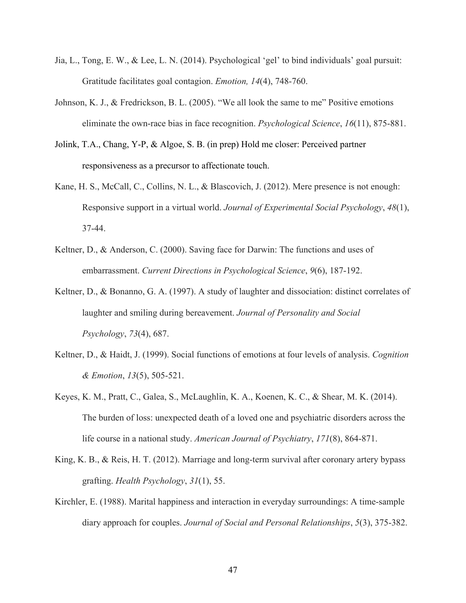- Jia, L., Tong, E. W., & Lee, L. N. (2014). Psychological 'gel' to bind individuals' goal pursuit: Gratitude facilitates goal contagion. *Emotion, 14*(4), 748-760.
- Johnson, K. J., & Fredrickson, B. L. (2005). "We all look the same to me" Positive emotions eliminate the own-race bias in face recognition. *Psychological Science*, *16*(11), 875-881.
- Jolink, T.A., Chang, Y-P, & Algoe, S. B. (in prep) Hold me closer: Perceived partner responsiveness as a precursor to affectionate touch.
- Kane, H. S., McCall, C., Collins, N. L., & Blascovich, J. (2012). Mere presence is not enough: Responsive support in a virtual world. *Journal of Experimental Social Psychology*, *48*(1), 37-44.
- Keltner, D., & Anderson, C. (2000). Saving face for Darwin: The functions and uses of embarrassment. *Current Directions in Psychological Science*, *9*(6), 187-192.
- Keltner, D., & Bonanno, G. A. (1997). A study of laughter and dissociation: distinct correlates of laughter and smiling during bereavement. *Journal of Personality and Social Psychology*, *73*(4), 687.
- Keltner, D., & Haidt, J. (1999). Social functions of emotions at four levels of analysis. *Cognition & Emotion*, *13*(5), 505-521.
- Keyes, K. M., Pratt, C., Galea, S., McLaughlin, K. A., Koenen, K. C., & Shear, M. K. (2014). The burden of loss: unexpected death of a loved one and psychiatric disorders across the life course in a national study. *American Journal of Psychiatry*, *171*(8), 864-871.
- King, K. B., & Reis, H. T. (2012). Marriage and long-term survival after coronary artery bypass grafting. *Health Psychology*, *31*(1), 55.
- Kirchler, E. (1988). Marital happiness and interaction in everyday surroundings: A time-sample diary approach for couples. *Journal of Social and Personal Relationships*, *5*(3), 375-382.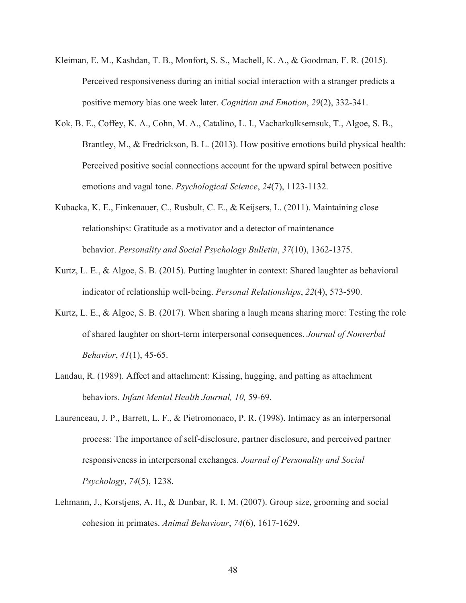- Kleiman, E. M., Kashdan, T. B., Monfort, S. S., Machell, K. A., & Goodman, F. R. (2015). Perceived responsiveness during an initial social interaction with a stranger predicts a positive memory bias one week later. *Cognition and Emotion*, *29*(2), 332-341.
- Kok, B. E., Coffey, K. A., Cohn, M. A., Catalino, L. I., Vacharkulksemsuk, T., Algoe, S. B., Brantley, M., & Fredrickson, B. L. (2013). How positive emotions build physical health: Perceived positive social connections account for the upward spiral between positive emotions and vagal tone. *Psychological Science*, *24*(7), 1123-1132.
- Kubacka, K. E., Finkenauer, C., Rusbult, C. E., & Keijsers, L. (2011). Maintaining close relationships: Gratitude as a motivator and a detector of maintenance behavior. *Personality and Social Psychology Bulletin*, *37*(10), 1362-1375.
- Kurtz, L. E., & Algoe, S. B. (2015). Putting laughter in context: Shared laughter as behavioral indicator of relationship well-being. *Personal Relationships*, *22*(4), 573-590.
- Kurtz, L. E., & Algoe, S. B. (2017). When sharing a laugh means sharing more: Testing the role of shared laughter on short-term interpersonal consequences. *Journal of Nonverbal Behavior*, *41*(1), 45-65.
- Landau, R. (1989). Affect and attachment: Kissing, hugging, and patting as attachment behaviors. *Infant Mental Health Journal, 10,* 59-69.
- Laurenceau, J. P., Barrett, L. F., & Pietromonaco, P. R. (1998). Intimacy as an interpersonal process: The importance of self-disclosure, partner disclosure, and perceived partner responsiveness in interpersonal exchanges. *Journal of Personality and Social Psychology*, *74*(5), 1238.
- Lehmann, J., Korstjens, A. H., & Dunbar, R. I. M. (2007). Group size, grooming and social cohesion in primates. *Animal Behaviour*, *74*(6), 1617-1629.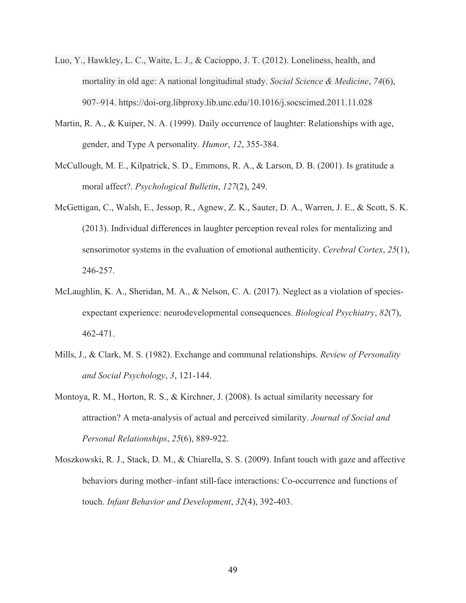- Luo, Y., Hawkley, L. C., Waite, L. J., & Cacioppo, J. T. (2012). Loneliness, health, and mortality in old age: A national longitudinal study. *Social Science & Medicine*, *74*(6), 907–914. https://doi-org.libproxy.lib.unc.edu/10.1016/j.socscimed.2011.11.028
- Martin, R. A., & Kuiper, N. A. (1999). Daily occurrence of laughter: Relationships with age, gender, and Type A personality. *Humor*, *12*, 355-384.
- McCullough, M. E., Kilpatrick, S. D., Emmons, R. A., & Larson, D. B. (2001). Is gratitude a moral affect?. *Psychological Bulletin*, *127*(2), 249.
- McGettigan, C., Walsh, E., Jessop, R., Agnew, Z. K., Sauter, D. A., Warren, J. E., & Scott, S. K. (2013). Individual differences in laughter perception reveal roles for mentalizing and sensorimotor systems in the evaluation of emotional authenticity. *Cerebral Cortex*, *25*(1), 246-257.
- McLaughlin, K. A., Sheridan, M. A., & Nelson, C. A. (2017). Neglect as a violation of speciesexpectant experience: neurodevelopmental consequences. *Biological Psychiatry*, *82*(7), 462-471.
- Mills, J., & Clark, M. S. (1982). Exchange and communal relationships. *Review of Personality and Social Psychology*, *3*, 121-144.
- Montoya, R. M., Horton, R. S., & Kirchner, J. (2008). Is actual similarity necessary for attraction? A meta-analysis of actual and perceived similarity. *Journal of Social and Personal Relationships*, *25*(6), 889-922.
- Moszkowski, R. J., Stack, D. M., & Chiarella, S. S. (2009). Infant touch with gaze and affective behaviors during mother–infant still-face interactions: Co-occurrence and functions of touch. *Infant Behavior and Development*, *32*(4), 392-403.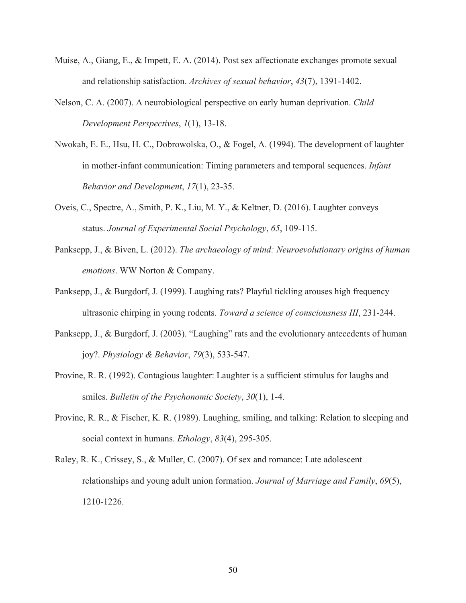- Muise, A., Giang, E., & Impett, E. A. (2014). Post sex affectionate exchanges promote sexual and relationship satisfaction. *Archives of sexual behavior*, *43*(7), 1391-1402.
- Nelson, C. A. (2007). A neurobiological perspective on early human deprivation. *Child Development Perspectives*, *1*(1), 13-18.
- Nwokah, E. E., Hsu, H. C., Dobrowolska, O., & Fogel, A. (1994). The development of laughter in mother-infant communication: Timing parameters and temporal sequences. *Infant Behavior and Development*, *17*(1), 23-35.
- Oveis, C., Spectre, A., Smith, P. K., Liu, M. Y., & Keltner, D. (2016). Laughter conveys status. *Journal of Experimental Social Psychology*, *65*, 109-115.
- Panksepp, J., & Biven, L. (2012). *The archaeology of mind: Neuroevolutionary origins of human emotions*. WW Norton & Company.
- Panksepp, J., & Burgdorf, J. (1999). Laughing rats? Playful tickling arouses high frequency ultrasonic chirping in young rodents. *Toward a science of consciousness III*, 231-244.
- Panksepp, J., & Burgdorf, J. (2003). "Laughing" rats and the evolutionary antecedents of human joy?. *Physiology & Behavior*, *79*(3), 533-547.
- Provine, R. R. (1992). Contagious laughter: Laughter is a sufficient stimulus for laughs and smiles. *Bulletin of the Psychonomic Society*, *30*(1), 1-4.
- Provine, R. R., & Fischer, K. R. (1989). Laughing, smiling, and talking: Relation to sleeping and social context in humans. *Ethology*, *83*(4), 295-305.
- Raley, R. K., Crissey, S., & Muller, C. (2007). Of sex and romance: Late adolescent relationships and young adult union formation. *Journal of Marriage and Family*, *69*(5), 1210-1226.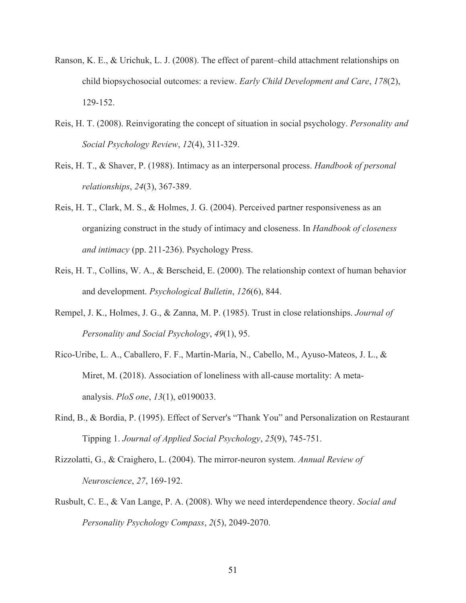- Ranson, K. E., & Urichuk, L. J. (2008). The effect of parent–child attachment relationships on child biopsychosocial outcomes: a review. *Early Child Development and Care*, *178*(2), 129-152.
- Reis, H. T. (2008). Reinvigorating the concept of situation in social psychology. *Personality and Social Psychology Review*, *12*(4), 311-329.
- Reis, H. T., & Shaver, P. (1988). Intimacy as an interpersonal process. *Handbook of personal relationships*, *24*(3), 367-389.
- Reis, H. T., Clark, M. S., & Holmes, J. G. (2004). Perceived partner responsiveness as an organizing construct in the study of intimacy and closeness. In *Handbook of closeness and intimacy* (pp. 211-236). Psychology Press.
- Reis, H. T., Collins, W. A., & Berscheid, E. (2000). The relationship context of human behavior and development. *Psychological Bulletin*, *126*(6), 844.
- Rempel, J. K., Holmes, J. G., & Zanna, M. P. (1985). Trust in close relationships. *Journal of Personality and Social Psychology*, *49*(1), 95.
- Rico-Uribe, L. A., Caballero, F. F., Martín-María, N., Cabello, M., Ayuso-Mateos, J. L., & Miret, M. (2018). Association of loneliness with all-cause mortality: A metaanalysis. *PloS one*, *13*(1), e0190033.
- Rind, B., & Bordia, P. (1995). Effect of Server's "Thank You" and Personalization on Restaurant Tipping 1. *Journal of Applied Social Psychology*, *25*(9), 745-751.
- Rizzolatti, G., & Craighero, L. (2004). The mirror-neuron system. *Annual Review of Neuroscience*, *27*, 169-192.
- Rusbult, C. E., & Van Lange, P. A. (2008). Why we need interdependence theory. *Social and Personality Psychology Compass*, *2*(5), 2049-2070.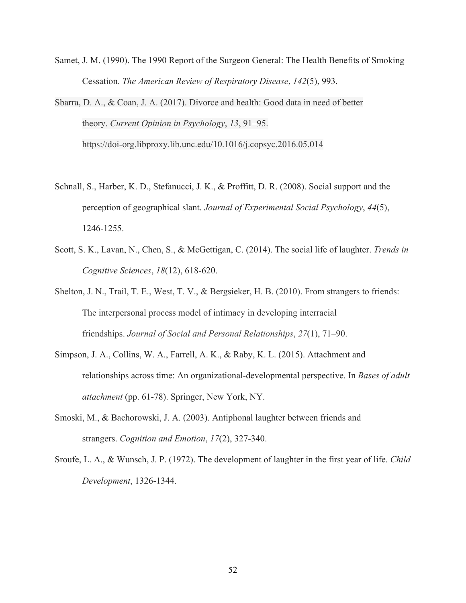- Samet, J. M. (1990). The 1990 Report of the Surgeon General: The Health Benefits of Smoking Cessation. *The American Review of Respiratory Disease*, *142*(5), 993.
- Sbarra, D. A., & Coan, J. A. (2017). Divorce and health: Good data in need of better theory. *Current Opinion in Psychology*, *13*, 91–95. https://doi-org.libproxy.lib.unc.edu/10.1016/j.copsyc.2016.05.014
- Schnall, S., Harber, K. D., Stefanucci, J. K., & Proffitt, D. R. (2008). Social support and the perception of geographical slant. *Journal of Experimental Social Psychology*, *44*(5), 1246-1255.
- Scott, S. K., Lavan, N., Chen, S., & McGettigan, C. (2014). The social life of laughter. *Trends in Cognitive Sciences*, *18*(12), 618-620.
- Shelton, J. N., Trail, T. E., West, T. V., & Bergsieker, H. B. (2010). From strangers to friends: The interpersonal process model of intimacy in developing interracial friendships. *Journal of Social and Personal Relationships*, *27*(1), 71–90.
- Simpson, J. A., Collins, W. A., Farrell, A. K., & Raby, K. L. (2015). Attachment and relationships across time: An organizational-developmental perspective. In *Bases of adult attachment* (pp. 61-78). Springer, New York, NY.
- Smoski, M., & Bachorowski, J. A. (2003). Antiphonal laughter between friends and strangers. *Cognition and Emotion*, *17*(2), 327-340.
- Sroufe, L. A., & Wunsch, J. P. (1972). The development of laughter in the first year of life. *Child Development*, 1326-1344.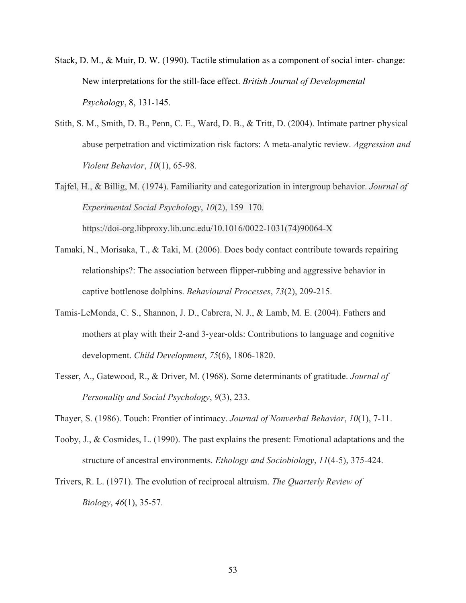- Stack, D. M., & Muir, D. W. (1990). Tactile stimulation as a component of social inter- change: New interpretations for the still-face effect. *British Journal of Developmental Psychology*, 8, 131-145.
- Stith, S. M., Smith, D. B., Penn, C. E., Ward, D. B., & Tritt, D. (2004). Intimate partner physical abuse perpetration and victimization risk factors: A meta-analytic review. *Aggression and Violent Behavior*, *10*(1), 65-98.
- Tajfel, H., & Billig, M. (1974). Familiarity and categorization in intergroup behavior. *Journal of Experimental Social Psychology*, *10*(2), 159–170. https://doi-org.libproxy.lib.unc.edu/10.1016/0022-1031(74)90064-X
- Tamaki, N., Morisaka, T., & Taki, M. (2006). Does body contact contribute towards repairing relationships?: The association between flipper-rubbing and aggressive behavior in captive bottlenose dolphins. *Behavioural Processes*, *73*(2), 209-215.
- Tamis-LeMonda, C. S., Shannon, J. D., Cabrera, N. J., & Lamb, M. E. (2004). Fathers and mothers at play with their 2-and 3-year-olds: Contributions to language and cognitive development. *Child Development*, *75*(6), 1806-1820.
- Tesser, A., Gatewood, R., & Driver, M. (1968). Some determinants of gratitude. *Journal of Personality and Social Psychology*, *9*(3), 233.
- Thayer, S. (1986). Touch: Frontier of intimacy. *Journal of Nonverbal Behavior*, *10*(1), 7-11.
- Tooby, J., & Cosmides, L. (1990). The past explains the present: Emotional adaptations and the structure of ancestral environments. *Ethology and Sociobiology*, *11*(4-5), 375-424.
- Trivers, R. L. (1971). The evolution of reciprocal altruism. *The Quarterly Review of Biology*, *46*(1), 35-57.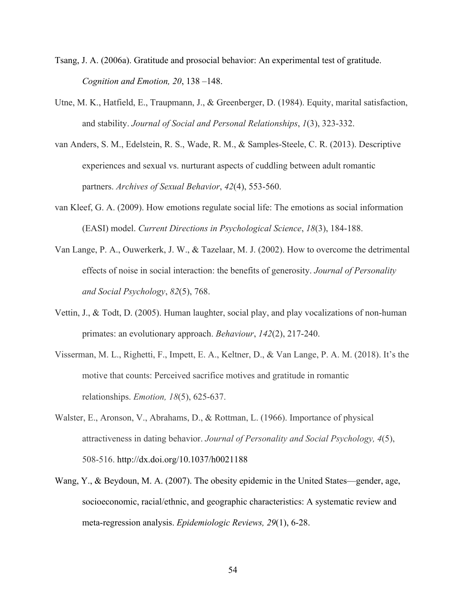- Tsang, J. A. (2006a). Gratitude and prosocial behavior: An experimental test of gratitude. *Cognition and Emotion, 20*, 138 –148.
- Utne, M. K., Hatfield, E., Traupmann, J., & Greenberger, D. (1984). Equity, marital satisfaction, and stability. *Journal of Social and Personal Relationships*, *1*(3), 323-332.
- van Anders, S. M., Edelstein, R. S., Wade, R. M., & Samples-Steele, C. R. (2013). Descriptive experiences and sexual vs. nurturant aspects of cuddling between adult romantic partners. *Archives of Sexual Behavior*, *42*(4), 553-560.
- van Kleef, G. A. (2009). How emotions regulate social life: The emotions as social information (EASI) model. *Current Directions in Psychological Science*, *18*(3), 184-188.
- Van Lange, P. A., Ouwerkerk, J. W., & Tazelaar, M. J. (2002). How to overcome the detrimental effects of noise in social interaction: the benefits of generosity. *Journal of Personality and Social Psychology*, *82*(5), 768.
- Vettin, J., & Todt, D. (2005). Human laughter, social play, and play vocalizations of non-human primates: an evolutionary approach. *Behaviour*, *142*(2), 217-240.
- Visserman, M. L., Righetti, F., Impett, E. A., Keltner, D., & Van Lange, P. A. M. (2018). It's the motive that counts: Perceived sacrifice motives and gratitude in romantic relationships. *Emotion, 18*(5), 625-637.
- Walster, E., Aronson, V., Abrahams, D., & Rottman, L. (1966). Importance of physical attractiveness in dating behavior. *Journal of Personality and Social Psychology, 4*(5), 508-516. http://dx.doi.org/10.1037/h0021188
- Wang, Y., & Beydoun, M. A. (2007). The obesity epidemic in the United States—gender, age, socioeconomic, racial/ethnic, and geographic characteristics: A systematic review and meta-regression analysis. *Epidemiologic Reviews, 29*(1), 6-28.